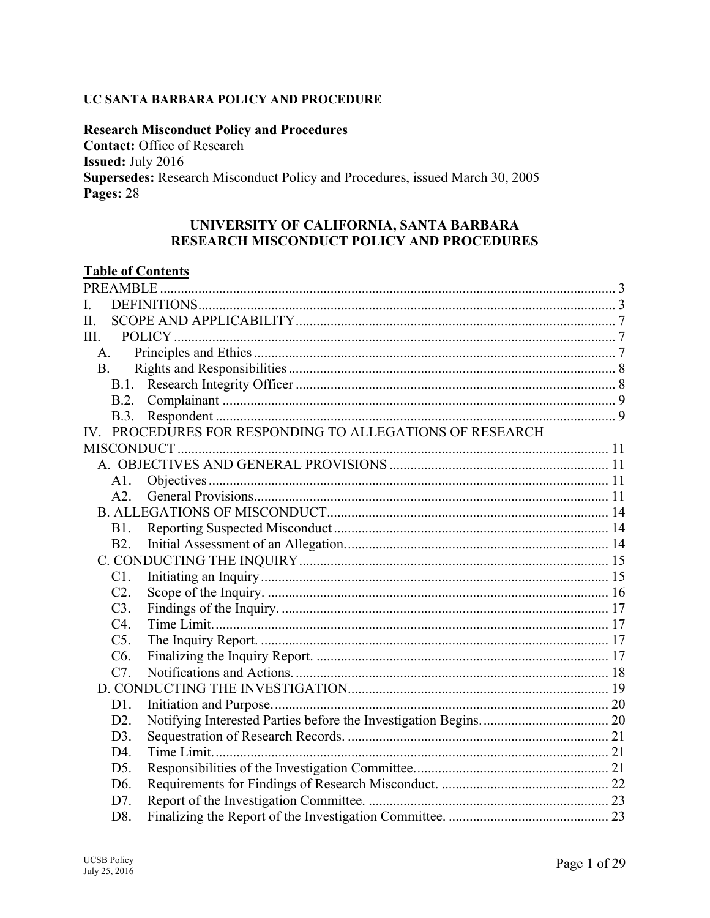#### UC SANTA BARBARA POLICY AND PROCEDURE

**Research Misconduct Policy and Procedures Contact: Office of Research Issued: July 2016** Supersedes: Research Misconduct Policy and Procedures, issued March 30, 2005 Pages: 28

### UNIVERSITY OF CALIFORNIA, SANTA BARBARA RESEARCH MISCONDUCT POLICY AND PROCEDURES

# **Table of Contents**

| II.                                                      |                  |  |  |  |  |
|----------------------------------------------------------|------------------|--|--|--|--|
|                                                          | III.             |  |  |  |  |
|                                                          | A.               |  |  |  |  |
| <b>B.</b>                                                |                  |  |  |  |  |
|                                                          | <b>B.1.</b>      |  |  |  |  |
|                                                          | <b>B.2.</b>      |  |  |  |  |
|                                                          | B.3.             |  |  |  |  |
| IV. PROCEDURES FOR RESPONDING TO ALLEGATIONS OF RESEARCH |                  |  |  |  |  |
|                                                          |                  |  |  |  |  |
|                                                          |                  |  |  |  |  |
|                                                          | A1.              |  |  |  |  |
|                                                          | A2.              |  |  |  |  |
|                                                          |                  |  |  |  |  |
|                                                          | <b>B1.</b>       |  |  |  |  |
|                                                          | <b>B2.</b>       |  |  |  |  |
|                                                          |                  |  |  |  |  |
|                                                          | C1.              |  |  |  |  |
|                                                          | C2.              |  |  |  |  |
|                                                          | C3.              |  |  |  |  |
|                                                          | C4.              |  |  |  |  |
|                                                          | $C5$ .           |  |  |  |  |
|                                                          | C <sub>6</sub> . |  |  |  |  |
|                                                          | C7.              |  |  |  |  |
|                                                          |                  |  |  |  |  |
|                                                          | D1.              |  |  |  |  |
|                                                          | D <sub>2</sub> . |  |  |  |  |
|                                                          | D3.              |  |  |  |  |
|                                                          | D4.              |  |  |  |  |
|                                                          | D <sub>5</sub> . |  |  |  |  |
|                                                          | D <sub>6</sub> . |  |  |  |  |
|                                                          | D7.              |  |  |  |  |
|                                                          | D8.              |  |  |  |  |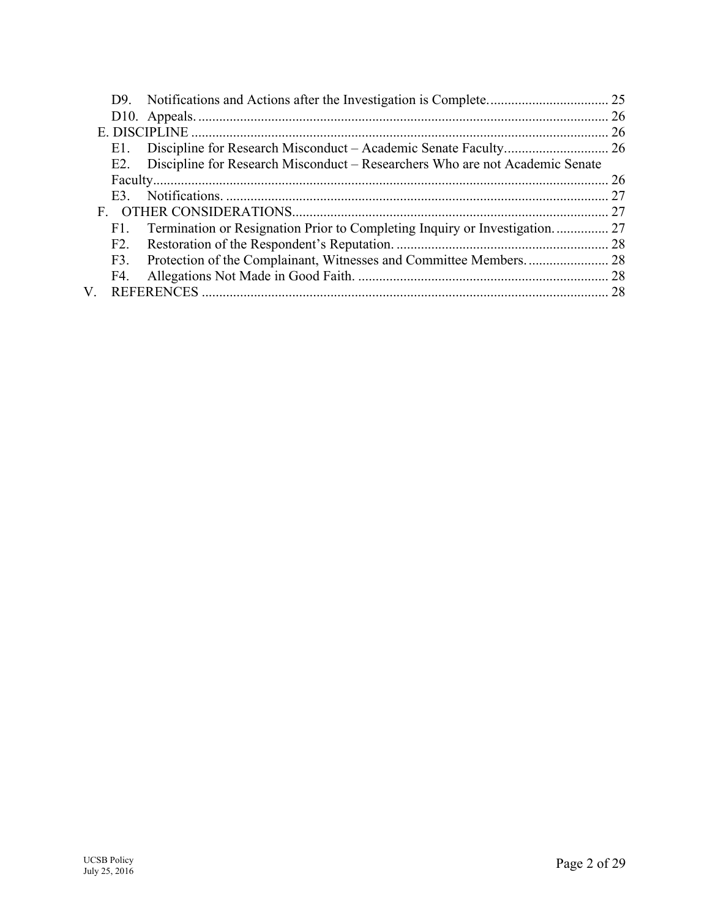|    | E1. |                                                                                  |  |
|----|-----|----------------------------------------------------------------------------------|--|
|    |     | E2. Discipline for Research Misconduct – Researchers Who are not Academic Senate |  |
|    |     |                                                                                  |  |
|    | E3  |                                                                                  |  |
|    |     |                                                                                  |  |
|    | F1. | Termination or Resignation Prior to Completing Inquiry or Investigation 27       |  |
|    | F2. |                                                                                  |  |
|    |     |                                                                                  |  |
|    | F4. |                                                                                  |  |
| V. |     |                                                                                  |  |
|    |     |                                                                                  |  |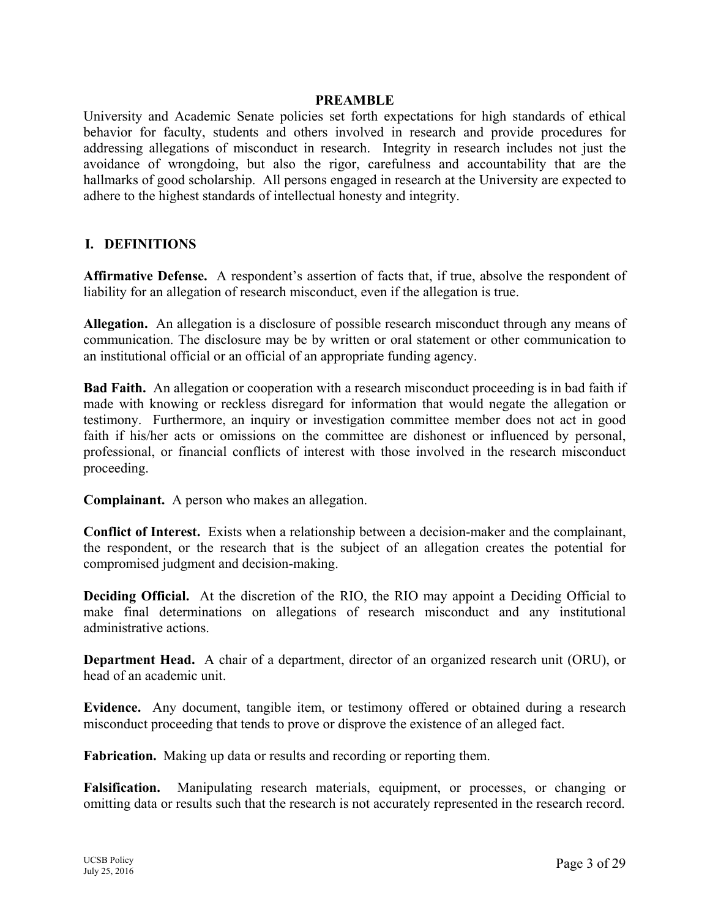#### **PREAMBLE**

University and Academic Senate policies set forth expectations for high standards of ethical behavior for faculty, students and others involved in research and provide procedures for addressing allegations of misconduct in research. Integrity in research includes not just the avoidance of wrongdoing, but also the rigor, carefulness and accountability that are the hallmarks of good scholarship. All persons engaged in research at the University are expected to adhere to the highest standards of intellectual honesty and integrity.

#### **I. DEFINITIONS**

**Affirmative Defense.** A respondent's assertion of facts that, if true, absolve the respondent of liability for an allegation of research misconduct, even if the allegation is true.

**Allegation.** An allegation is a disclosure of possible research misconduct through any means of communication. The disclosure may be by written or oral statement or other communication to an institutional official or an official of an appropriate funding agency.

**Bad Faith.** An allegation or cooperation with a research misconduct proceeding is in bad faith if made with knowing or reckless disregard for information that would negate the allegation or testimony. Furthermore, an inquiry or investigation committee member does not act in good faith if his/her acts or omissions on the committee are dishonest or influenced by personal, professional, or financial conflicts of interest with those involved in the research misconduct proceeding.

**Complainant.** A person who makes an allegation.

**Conflict of Interest.** Exists when a relationship between a decision-maker and the complainant, the respondent, or the research that is the subject of an allegation creates the potential for compromised judgment and decision-making.

**Deciding Official.** At the discretion of the RIO, the RIO may appoint a Deciding Official to make final determinations on allegations of research misconduct and any institutional administrative actions.

**Department Head.** A chair of a department, director of an organized research unit (ORU), or head of an academic unit.

**Evidence.** Any document, tangible item, or testimony offered or obtained during a research misconduct proceeding that tends to prove or disprove the existence of an alleged fact.

**Fabrication.** Making up data or results and recording or reporting them.

**Falsification.** Manipulating research materials, equipment, or processes, or changing or omitting data or results such that the research is not accurately represented in the research record.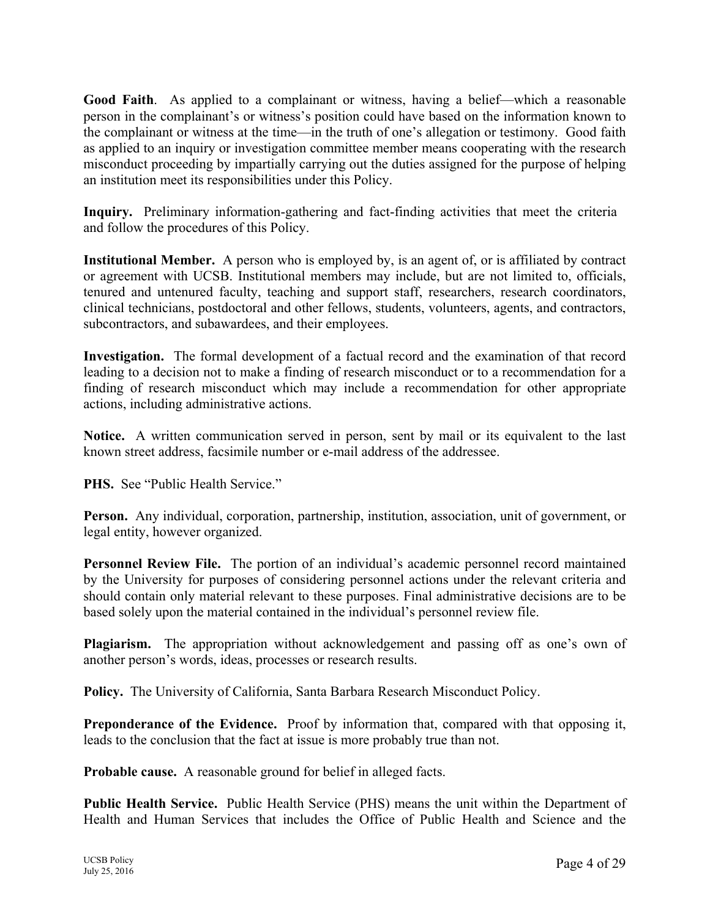**Good Faith**. As applied to a complainant or witness, having a belief—which a reasonable person in the complainant's or witness's position could have based on the information known to the complainant or witness at the time—in the truth of one's allegation or testimony. Good faith as applied to an inquiry or investigation committee member means cooperating with the research misconduct proceeding by impartially carrying out the duties assigned for the purpose of helping an institution meet its responsibilities under this Policy.

**Inquiry.** Preliminary information-gathering and fact-finding activities that meet the criteria and follow the procedures of this Policy.

**Institutional Member.** A person who is employed by, is an agent of, or is affiliated by contract or agreement with UCSB. Institutional members may include, but are not limited to, officials, tenured and untenured faculty, teaching and support staff, researchers, research coordinators, clinical technicians, postdoctoral and other fellows, students, volunteers, agents, and contractors, subcontractors, and subawardees, and their employees.

**Investigation.** The formal development of a factual record and the examination of that record leading to a decision not to make a finding of research misconduct or to a recommendation for a finding of research misconduct which may include a recommendation for other appropriate actions, including administrative actions.

**Notice.** A written communication served in person, sent by mail or its equivalent to the last known street address, facsimile number or e-mail address of the addressee.

**PHS.** See "Public Health Service."

**Person.** Any individual, corporation, partnership, institution, association, unit of government, or legal entity, however organized.

**Personnel Review File.** The portion of an individual's academic personnel record maintained by the University for purposes of considering personnel actions under the relevant criteria and should contain only material relevant to these purposes. Final administrative decisions are to be based solely upon the material contained in the individual's personnel review file.

**Plagiarism.** The appropriation without acknowledgement and passing off as one's own of another person's words, ideas, processes or research results.

**Policy.** The University of California, Santa Barbara Research Misconduct Policy.

**Preponderance of the Evidence.** Proof by information that, compared with that opposing it, leads to the conclusion that the fact at issue is more probably true than not.

**Probable cause.** A reasonable ground for belief in alleged facts.

**Public Health Service.** Public Health Service (PHS) means the unit within the Department of Health and Human Services that includes the Office of Public Health and Science and the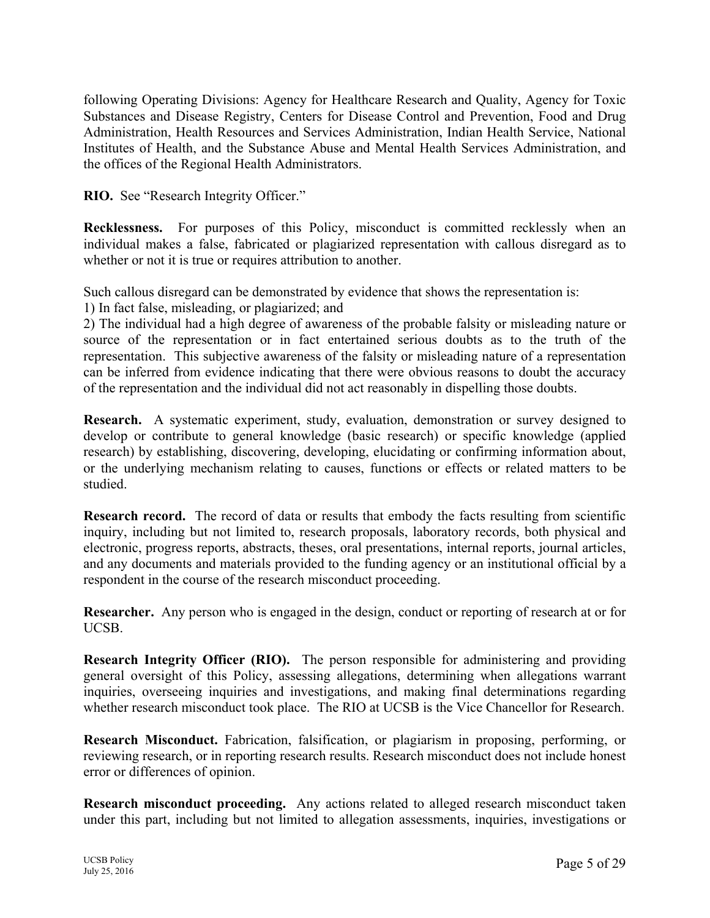following Operating Divisions: Agency for Healthcare Research and Quality, Agency for Toxic Substances and Disease Registry, Centers for Disease Control and Prevention, Food and Drug Administration, Health Resources and Services Administration, Indian Health Service, National Institutes of Health, and the Substance Abuse and Mental Health Services Administration, and the offices of the Regional Health Administrators.

**RIO.** See "Research Integrity Officer."

**Recklessness.** For purposes of this Policy, misconduct is committed recklessly when an individual makes a false, fabricated or plagiarized representation with callous disregard as to whether or not it is true or requires attribution to another.

Such callous disregard can be demonstrated by evidence that shows the representation is:

1) In fact false, misleading, or plagiarized; and

2) The individual had a high degree of awareness of the probable falsity or misleading nature or source of the representation or in fact entertained serious doubts as to the truth of the representation. This subjective awareness of the falsity or misleading nature of a representation can be inferred from evidence indicating that there were obvious reasons to doubt the accuracy of the representation and the individual did not act reasonably in dispelling those doubts.

**Research.** A systematic experiment, study, evaluation, demonstration or survey designed to develop or contribute to general knowledge (basic research) or specific knowledge (applied research) by establishing, discovering, developing, elucidating or confirming information about, or the underlying mechanism relating to causes, functions or effects or related matters to be studied.

**Research record.** The record of data or results that embody the facts resulting from scientific inquiry, including but not limited to, research proposals, laboratory records, both physical and electronic, progress reports, abstracts, theses, oral presentations, internal reports, journal articles, and any documents and materials provided to the funding agency or an institutional official by a respondent in the course of the research misconduct proceeding.

**Researcher.** Any person who is engaged in the design, conduct or reporting of research at or for UCSB.

**Research Integrity Officer (RIO).** The person responsible for administering and providing general oversight of this Policy, assessing allegations, determining when allegations warrant inquiries, overseeing inquiries and investigations, and making final determinations regarding whether research misconduct took place. The RIO at UCSB is the Vice Chancellor for Research.

**Research Misconduct.** Fabrication, falsification, or plagiarism in proposing, performing, or reviewing research, or in reporting research results. Research misconduct does not include honest error or differences of opinion.

**Research misconduct proceeding.** Any actions related to alleged research misconduct taken under this part, including but not limited to allegation assessments, inquiries, investigations or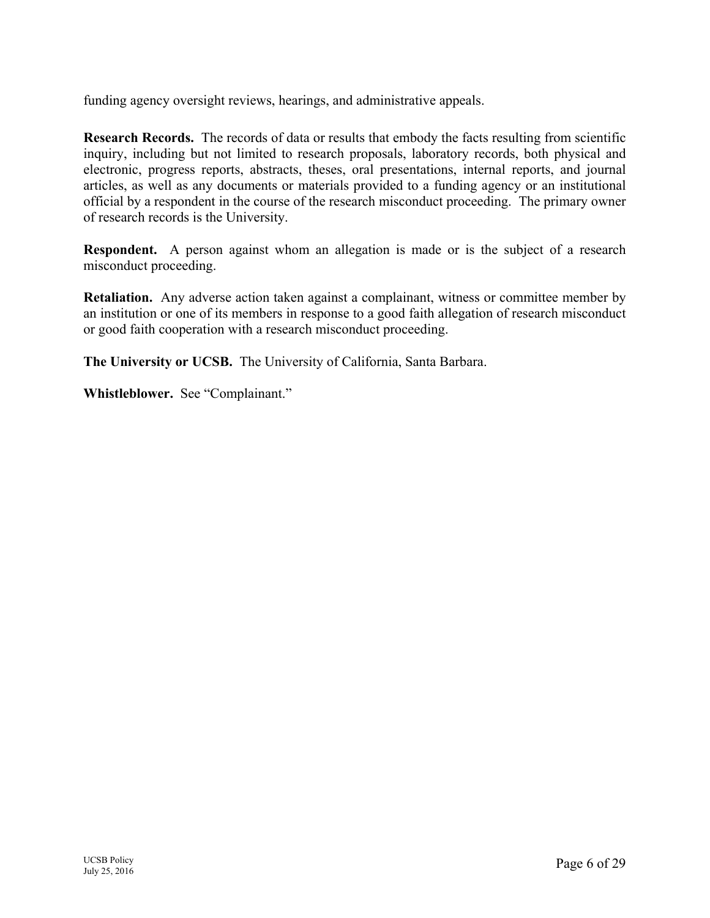funding agency oversight reviews, hearings, and administrative appeals.

**Research Records.** The records of data or results that embody the facts resulting from scientific inquiry, including but not limited to research proposals, laboratory records, both physical and electronic, progress reports, abstracts, theses, oral presentations, internal reports, and journal articles, as well as any documents or materials provided to a funding agency or an institutional official by a respondent in the course of the research misconduct proceeding. The primary owner of research records is the University.

**Respondent.** A person against whom an allegation is made or is the subject of a research misconduct proceeding.

**Retaliation.** Any adverse action taken against a complainant, witness or committee member by an institution or one of its members in response to a good faith allegation of research misconduct or good faith cooperation with a research misconduct proceeding.

**The University or UCSB.** The University of California, Santa Barbara.

**Whistleblower.** See "Complainant."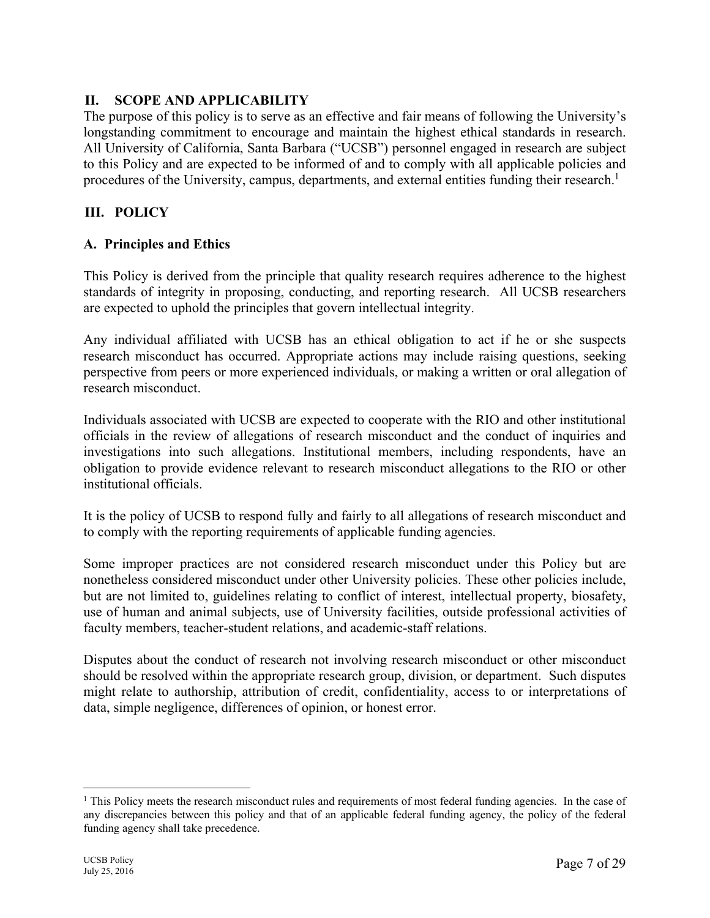#### **II. SCOPE AND APPLICABILITY**

The purpose of this policy is to serve as an effective and fair means of following the University's longstanding commitment to encourage and maintain the highest ethical standards in research. All University of California, Santa Barbara ("UCSB") personnel engaged in research are subject to this Policy and are expected to be informed of and to comply with all applicable policies and procedures of the University, campus, departments, and external entities funding their research.<sup>1</sup>

# **III. POLICY**

#### **A. Principles and Ethics**

This Policy is derived from the principle that quality research requires adherence to the highest standards of integrity in proposing, conducting, and reporting research. All UCSB researchers are expected to uphold the principles that govern intellectual integrity.

Any individual affiliated with UCSB has an ethical obligation to act if he or she suspects research misconduct has occurred. Appropriate actions may include raising questions, seeking perspective from peers or more experienced individuals, or making a written or oral allegation of research misconduct.

Individuals associated with UCSB are expected to cooperate with the RIO and other institutional officials in the review of allegations of research misconduct and the conduct of inquiries and investigations into such allegations. Institutional members, including respondents, have an obligation to provide evidence relevant to research misconduct allegations to the RIO or other institutional officials.

It is the policy of UCSB to respond fully and fairly to all allegations of research misconduct and to comply with the reporting requirements of applicable funding agencies.

Some improper practices are not considered research misconduct under this Policy but are nonetheless considered misconduct under other University policies. These other policies include, but are not limited to, guidelines relating to conflict of interest, intellectual property, biosafety, use of human and animal subjects, use of University facilities, outside professional activities of faculty members, teacher-student relations, and academic-staff relations.

Disputes about the conduct of research not involving research misconduct or other misconduct should be resolved within the appropriate research group, division, or department. Such disputes might relate to authorship, attribution of credit, confidentiality, access to or interpretations of data, simple negligence, differences of opinion, or honest error.

<sup>&</sup>lt;sup>1</sup> This Policy meets the research misconduct rules and requirements of most federal funding agencies. In the case of any discrepancies between this policy and that of an applicable federal funding agency, the policy of the federal funding agency shall take precedence.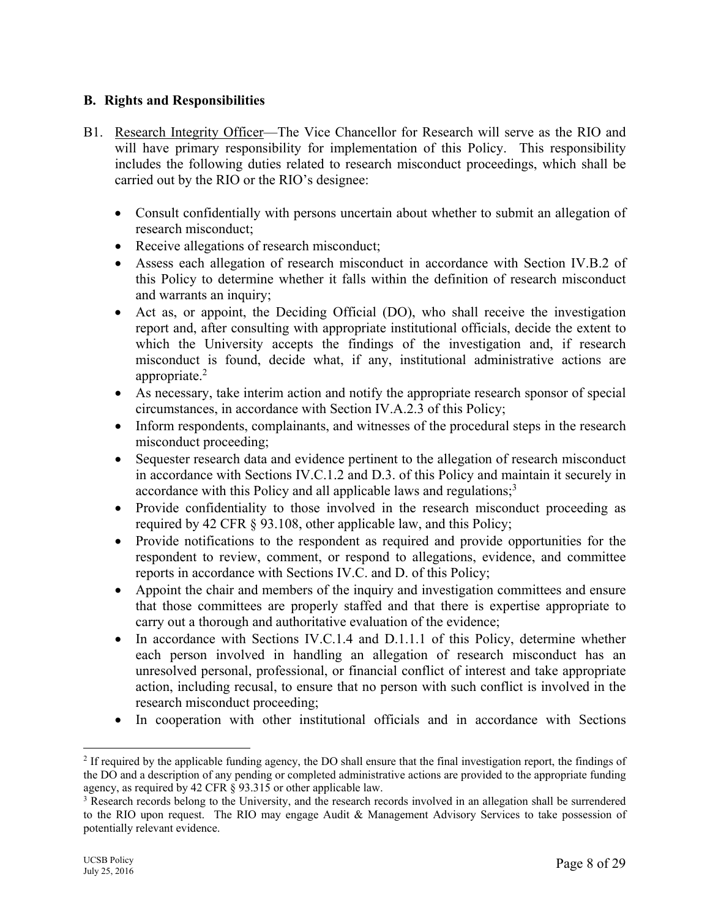### **B. Rights and Responsibilities**

- B1. Research Integrity Officer—The Vice Chancellor for Research will serve as the RIO and will have primary responsibility for implementation of this Policy. This responsibility includes the following duties related to research misconduct proceedings, which shall be carried out by the RIO or the RIO's designee:
	- Consult confidentially with persons uncertain about whether to submit an allegation of research misconduct;
	- Receive allegations of research misconduct;
	- Assess each allegation of research misconduct in accordance with Section IV.B.2 of this Policy to determine whether it falls within the definition of research misconduct and warrants an inquiry;
	- Act as, or appoint, the Deciding Official (DO), who shall receive the investigation report and, after consulting with appropriate institutional officials, decide the extent to which the University accepts the findings of the investigation and, if research misconduct is found, decide what, if any, institutional administrative actions are appropriate.2
	- As necessary, take interim action and notify the appropriate research sponsor of special circumstances, in accordance with Section IV.A.2.3 of this Policy;
	- Inform respondents, complainants, and witnesses of the procedural steps in the research misconduct proceeding;
	- Sequester research data and evidence pertinent to the allegation of research misconduct in accordance with Sections IV.C.1.2 and D.3. of this Policy and maintain it securely in accordance with this Policy and all applicable laws and regulations;<sup>3</sup>
	- Provide confidentiality to those involved in the research misconduct proceeding as required by 42 CFR § 93.108, other applicable law, and this Policy;
	- Provide notifications to the respondent as required and provide opportunities for the respondent to review, comment, or respond to allegations, evidence, and committee reports in accordance with Sections IV.C. and D. of this Policy;
	- Appoint the chair and members of the inquiry and investigation committees and ensure that those committees are properly staffed and that there is expertise appropriate to carry out a thorough and authoritative evaluation of the evidence;
	- $\bullet$  In accordance with Sections IV.C.1.4 and D.1.1.1 of this Policy, determine whether each person involved in handling an allegation of research misconduct has an unresolved personal, professional, or financial conflict of interest and take appropriate action, including recusal, to ensure that no person with such conflict is involved in the research misconduct proceeding;
	- In cooperation with other institutional officials and in accordance with Sections

<sup>&</sup>lt;sup>2</sup> If required by the applicable funding agency, the DO shall ensure that the final investigation report, the findings of the DO and a description of any pending or completed administrative actions are provided to the appropriate funding agency, as required by 42 CFR § 93.315 or other applicable law. 3

<sup>&</sup>lt;sup>3</sup> Research records belong to the University, and the research records involved in an allegation shall be surrendered to the RIO upon request. The RIO may engage Audit & Management Advisory Services to take possession of potentially relevant evidence.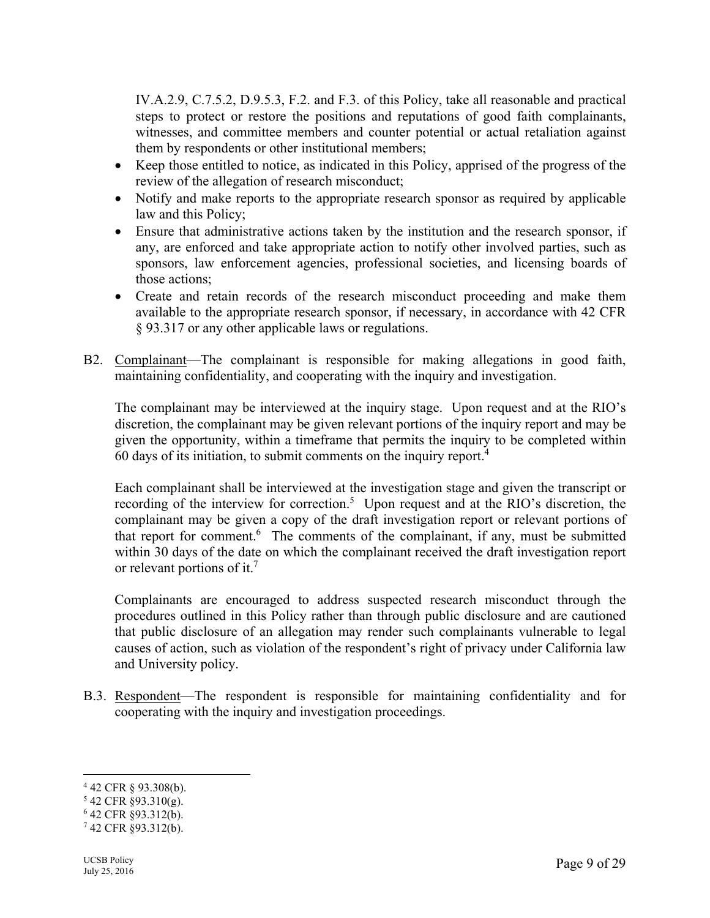IV.A.2.9, C.7.5.2, D.9.5.3, F.2. and F.3. of this Policy, take all reasonable and practical steps to protect or restore the positions and reputations of good faith complainants, witnesses, and committee members and counter potential or actual retaliation against them by respondents or other institutional members;

- Keep those entitled to notice, as indicated in this Policy, apprised of the progress of the review of the allegation of research misconduct;
- Notify and make reports to the appropriate research sponsor as required by applicable law and this Policy;
- Ensure that administrative actions taken by the institution and the research sponsor, if any, are enforced and take appropriate action to notify other involved parties, such as sponsors, law enforcement agencies, professional societies, and licensing boards of those actions;
- Create and retain records of the research misconduct proceeding and make them available to the appropriate research sponsor, if necessary, in accordance with 42 CFR § 93.317 or any other applicable laws or regulations.
- B2. Complainant—The complainant is responsible for making allegations in good faith, maintaining confidentiality, and cooperating with the inquiry and investigation.

The complainant may be interviewed at the inquiry stage. Upon request and at the RIO's discretion, the complainant may be given relevant portions of the inquiry report and may be given the opportunity, within a timeframe that permits the inquiry to be completed within 60 days of its initiation, to submit comments on the inquiry report.4

Each complainant shall be interviewed at the investigation stage and given the transcript or recording of the interview for correction.<sup>5</sup> Upon request and at the RIO's discretion, the complainant may be given a copy of the draft investigation report or relevant portions of that report for comment.<sup>6</sup> The comments of the complainant, if any, must be submitted within 30 days of the date on which the complainant received the draft investigation report or relevant portions of it.<sup>7</sup>

Complainants are encouraged to address suspected research misconduct through the procedures outlined in this Policy rather than through public disclosure and are cautioned that public disclosure of an allegation may render such complainants vulnerable to legal causes of action, such as violation of the respondent's right of privacy under California law and University policy.

B.3. Respondent—The respondent is responsible for maintaining confidentiality and for cooperating with the inquiry and investigation proceedings.

 $4$  42 CFR § 93.308(b).

<sup>5</sup> 42 CFR §93.310(g).

<sup>6</sup> 42 CFR §93.312(b).

 $742$  CFR §93.312(b).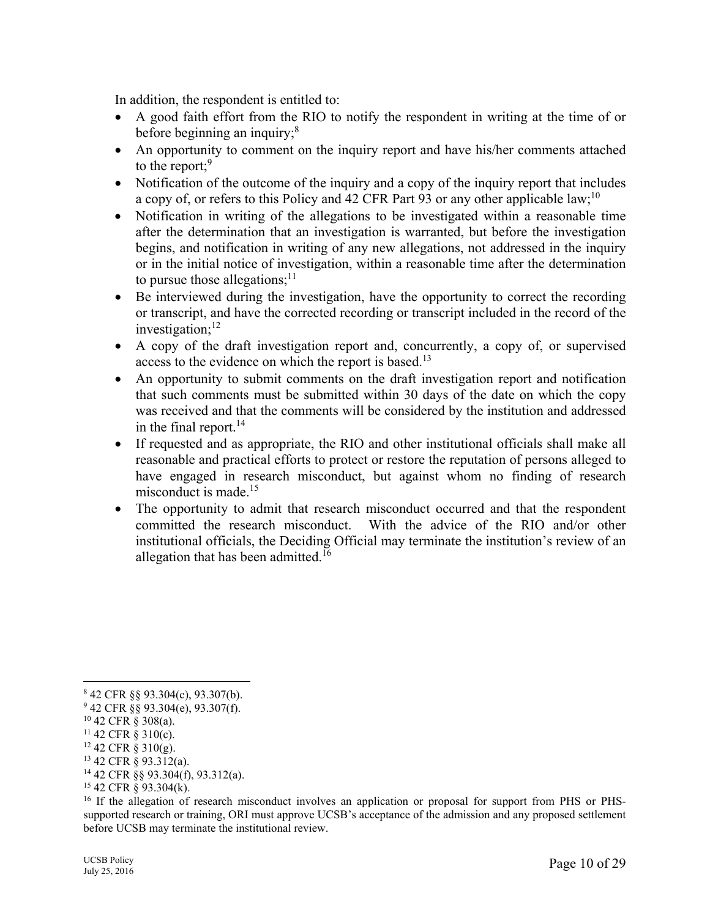In addition, the respondent is entitled to:

- A good faith effort from the RIO to notify the respondent in writing at the time of or before beginning an inquiry; $8<sup>8</sup>$
- An opportunity to comment on the inquiry report and have his/her comments attached to the report; $9$
- Notification of the outcome of the inquiry and a copy of the inquiry report that includes a copy of, or refers to this Policy and 42 CFR Part 93 or any other applicable law;  $10^{\circ}$
- Notification in writing of the allegations to be investigated within a reasonable time after the determination that an investigation is warranted, but before the investigation begins, and notification in writing of any new allegations, not addressed in the inquiry or in the initial notice of investigation, within a reasonable time after the determination to pursue those allegations; $^{11}$
- Be interviewed during the investigation, have the opportunity to correct the recording or transcript, and have the corrected recording or transcript included in the record of the investigation; $^{12}$
- A copy of the draft investigation report and, concurrently, a copy of, or supervised access to the evidence on which the report is based.<sup>13</sup>
- An opportunity to submit comments on the draft investigation report and notification that such comments must be submitted within 30 days of the date on which the copy was received and that the comments will be considered by the institution and addressed in the final report.<sup>14</sup>
- If requested and as appropriate, the RIO and other institutional officials shall make all reasonable and practical efforts to protect or restore the reputation of persons alleged to have engaged in research misconduct, but against whom no finding of research misconduct is made. $15$
- The opportunity to admit that research misconduct occurred and that the respondent committed the research misconduct. With the advice of the RIO and/or other institutional officials, the Deciding Official may terminate the institution's review of an allegation that has been admitted.<sup>16</sup>

 $\overline{a}$ 

14 42 CFR §§ 93.304(f), 93.312(a).

<sup>8</sup> 42 CFR §§ 93.304(c), 93.307(b).

 $942$  CFR §§ 93.304(e), 93.307(f).

<sup>10 42</sup> CFR § 308(a).

 $11$  42 CFR  $\S$  310(c).

 $12$  42 CFR § 310(g).

<sup>13 42</sup> CFR § 93.312(a).

 $15$  42 CFR § 93.304(k).

<sup>&</sup>lt;sup>16</sup> If the allegation of research misconduct involves an application or proposal for support from PHS or PHSsupported research or training, ORI must approve UCSB's acceptance of the admission and any proposed settlement before UCSB may terminate the institutional review.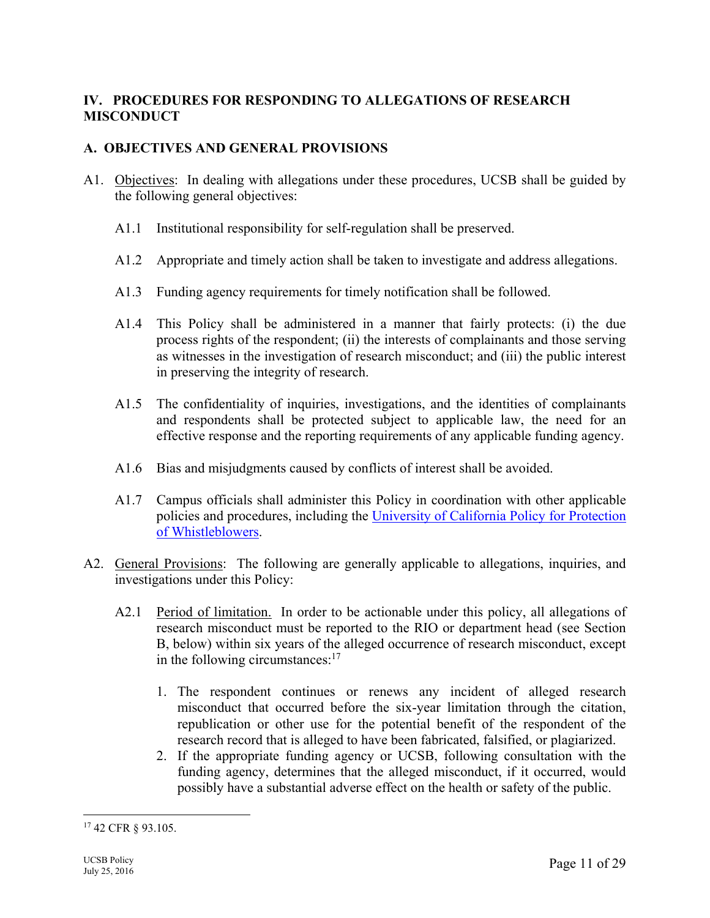# **IV. PROCEDURES FOR RESPONDING TO ALLEGATIONS OF RESEARCH MISCONDUCT**

# **A. OBJECTIVES AND GENERAL PROVISIONS**

- A1. Objectives: In dealing with allegations under these procedures, UCSB shall be guided by the following general objectives:
	- A1.1 Institutional responsibility for self-regulation shall be preserved.
	- A1.2 Appropriate and timely action shall be taken to investigate and address allegations.
	- A1.3 Funding agency requirements for timely notification shall be followed.
	- A1.4 This Policy shall be administered in a manner that fairly protects: (i) the due process rights of the respondent; (ii) the interests of complainants and those serving as witnesses in the investigation of research misconduct; and (iii) the public interest in preserving the integrity of research.
	- A1.5 The confidentiality of inquiries, investigations, and the identities of complainants and respondents shall be protected subject to applicable law, the need for an effective response and the reporting requirements of any applicable funding agency.
	- A1.6 Bias and misjudgments caused by conflicts of interest shall be avoided.
	- A1.7 Campus officials shall administer this Policy in coordination with other applicable policies and procedures, including the University of California Policy for Protection of Whistleblowers.
- A2. General Provisions: The following are generally applicable to allegations, inquiries, and investigations under this Policy:
	- A2.1 Period of limitation. In order to be actionable under this policy, all allegations of research misconduct must be reported to the RIO or department head (see Section B, below) within six years of the alleged occurrence of research misconduct, except in the following circumstances: $17$ 
		- 1. The respondent continues or renews any incident of alleged research misconduct that occurred before the six-year limitation through the citation, republication or other use for the potential benefit of the respondent of the research record that is alleged to have been fabricated, falsified, or plagiarized.
		- 2. If the appropriate funding agency or UCSB, following consultation with the funding agency, determines that the alleged misconduct, if it occurred, would possibly have a substantial adverse effect on the health or safety of the public.

<sup>17 42</sup> CFR § 93.105.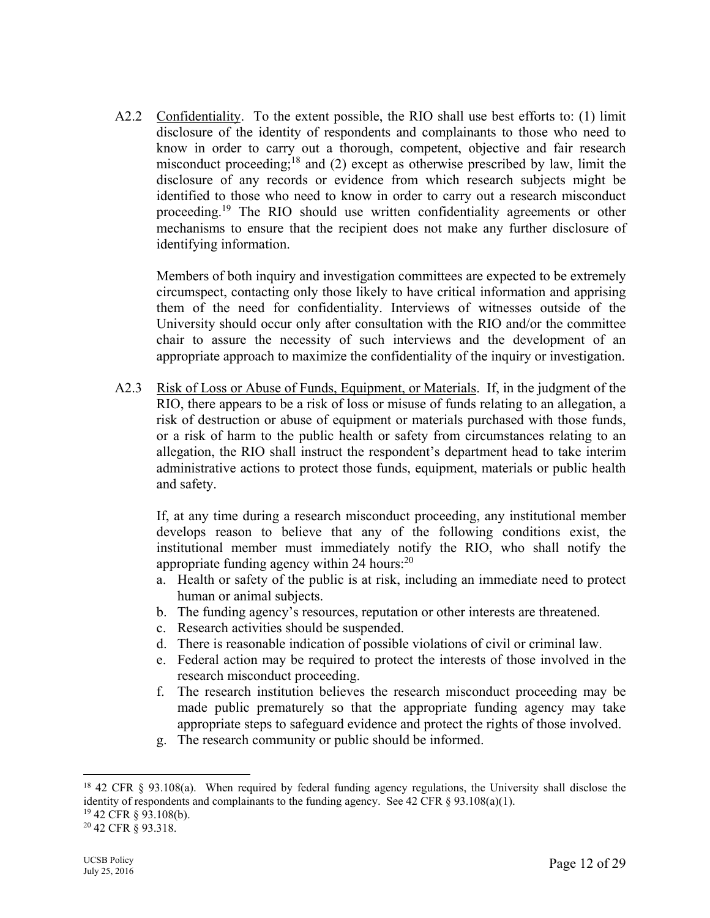A2.2 Confidentiality. To the extent possible, the RIO shall use best efforts to: (1) limit disclosure of the identity of respondents and complainants to those who need to know in order to carry out a thorough, competent, objective and fair research misconduct proceeding;<sup>18</sup> and (2) except as otherwise prescribed by law, limit the disclosure of any records or evidence from which research subjects might be identified to those who need to know in order to carry out a research misconduct proceeding.19 The RIO should use written confidentiality agreements or other mechanisms to ensure that the recipient does not make any further disclosure of identifying information.

Members of both inquiry and investigation committees are expected to be extremely circumspect, contacting only those likely to have critical information and apprising them of the need for confidentiality. Interviews of witnesses outside of the University should occur only after consultation with the RIO and/or the committee chair to assure the necessity of such interviews and the development of an appropriate approach to maximize the confidentiality of the inquiry or investigation.

A2.3 Risk of Loss or Abuse of Funds, Equipment, or Materials. If, in the judgment of the RIO, there appears to be a risk of loss or misuse of funds relating to an allegation, a risk of destruction or abuse of equipment or materials purchased with those funds, or a risk of harm to the public health or safety from circumstances relating to an allegation, the RIO shall instruct the respondent's department head to take interim administrative actions to protect those funds, equipment, materials or public health and safety.

If, at any time during a research misconduct proceeding, any institutional member develops reason to believe that any of the following conditions exist, the institutional member must immediately notify the RIO, who shall notify the appropriate funding agency within 24 hours:<sup>20</sup>

- a. Health or safety of the public is at risk, including an immediate need to protect human or animal subjects.
- b. The funding agency's resources, reputation or other interests are threatened.
- c. Research activities should be suspended.
- d. There is reasonable indication of possible violations of civil or criminal law.
- e. Federal action may be required to protect the interests of those involved in the research misconduct proceeding.
- f. The research institution believes the research misconduct proceeding may be made public prematurely so that the appropriate funding agency may take appropriate steps to safeguard evidence and protect the rights of those involved.
- g. The research community or public should be informed.

<sup>18 42</sup> CFR § 93.108(a). When required by federal funding agency regulations, the University shall disclose the identity of respondents and complainants to the funding agency. See 42 CFR  $\S$  93.108(a)(1).

<sup>19 42</sup> CFR § 93.108(b).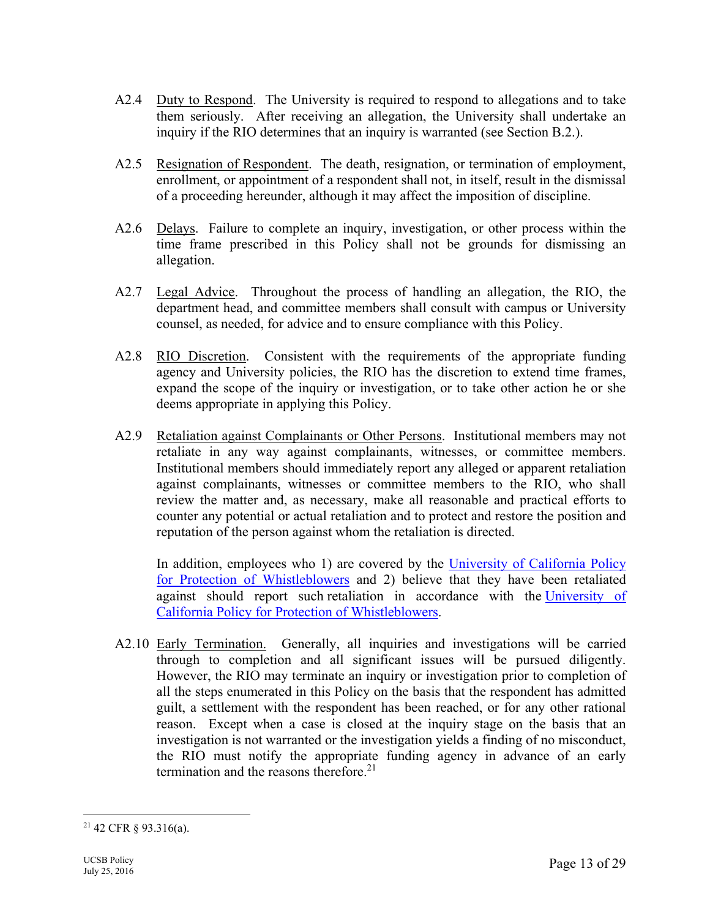- A2.4 Duty to Respond. The University is required to respond to allegations and to take them seriously. After receiving an allegation, the University shall undertake an inquiry if the RIO determines that an inquiry is warranted (see Section B.2.).
- A2.5 Resignation of Respondent. The death, resignation, or termination of employment, enrollment, or appointment of a respondent shall not, in itself, result in the dismissal of a proceeding hereunder, although it may affect the imposition of discipline.
- A2.6 Delays. Failure to complete an inquiry, investigation, or other process within the time frame prescribed in this Policy shall not be grounds for dismissing an allegation.
- A2.7 Legal Advice. Throughout the process of handling an allegation, the RIO, the department head, and committee members shall consult with campus or University counsel, as needed, for advice and to ensure compliance with this Policy.
- A2.8 RIO Discretion. Consistent with the requirements of the appropriate funding agency and University policies, the RIO has the discretion to extend time frames, expand the scope of the inquiry or investigation, or to take other action he or she deems appropriate in applying this Policy.
- A2.9 Retaliation against Complainants or Other Persons. Institutional members may not retaliate in any way against complainants, witnesses, or committee members. Institutional members should immediately report any alleged or apparent retaliation against complainants, witnesses or committee members to the RIO, who shall review the matter and, as necessary, make all reasonable and practical efforts to counter any potential or actual retaliation and to protect and restore the position and reputation of the person against whom the retaliation is directed.

In addition, employees who 1) are covered by the University of California Policy for Protection of Whistleblowers and 2) believe that they have been retaliated against should report such retaliation in accordance with the University of California Policy for Protection of Whistleblowers.

A2.10 Early Termination. Generally, all inquiries and investigations will be carried through to completion and all significant issues will be pursued diligently. However, the RIO may terminate an inquiry or investigation prior to completion of all the steps enumerated in this Policy on the basis that the respondent has admitted guilt, a settlement with the respondent has been reached, or for any other rational reason. Except when a case is closed at the inquiry stage on the basis that an investigation is not warranted or the investigation yields a finding of no misconduct, the RIO must notify the appropriate funding agency in advance of an early termination and the reasons therefore.<sup>21</sup>

<sup>&</sup>lt;sup>21</sup> 42 CFR § 93.316(a).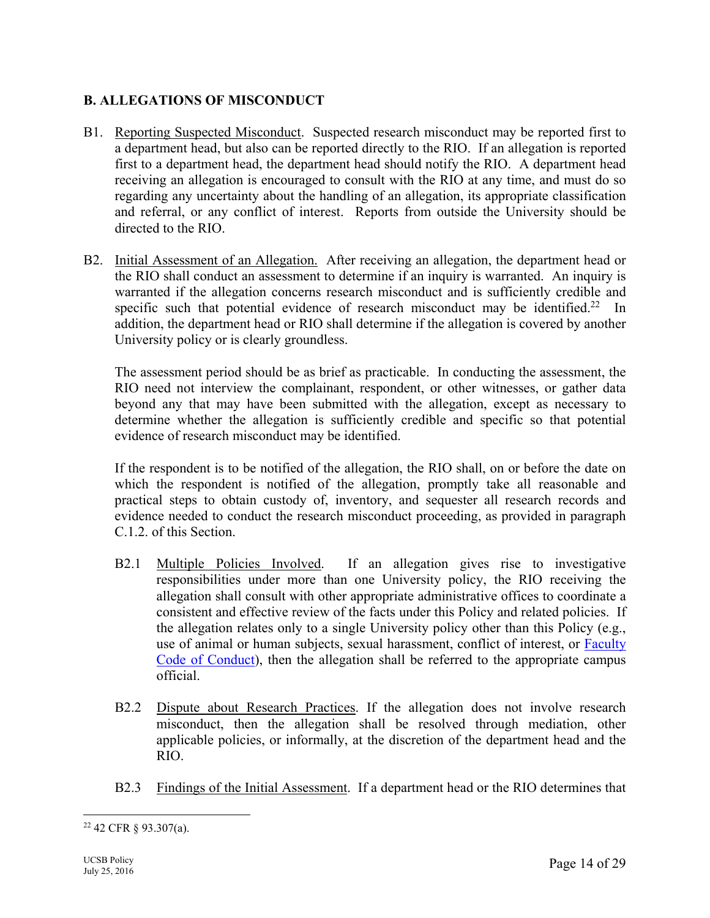# **B. ALLEGATIONS OF MISCONDUCT**

- B1. Reporting Suspected Misconduct. Suspected research misconduct may be reported first to a department head, but also can be reported directly to the RIO. If an allegation is reported first to a department head, the department head should notify the RIO. A department head receiving an allegation is encouraged to consult with the RIO at any time, and must do so regarding any uncertainty about the handling of an allegation, its appropriate classification and referral, or any conflict of interest. Reports from outside the University should be directed to the RIO.
- B2. Initial Assessment of an Allegation. After receiving an allegation, the department head or the RIO shall conduct an assessment to determine if an inquiry is warranted. An inquiry is warranted if the allegation concerns research misconduct and is sufficiently credible and specific such that potential evidence of research misconduct may be identified.<sup>22</sup> In addition, the department head or RIO shall determine if the allegation is covered by another University policy or is clearly groundless.

The assessment period should be as brief as practicable. In conducting the assessment, the RIO need not interview the complainant, respondent, or other witnesses, or gather data beyond any that may have been submitted with the allegation, except as necessary to determine whether the allegation is sufficiently credible and specific so that potential evidence of research misconduct may be identified.

If the respondent is to be notified of the allegation, the RIO shall, on or before the date on which the respondent is notified of the allegation, promptly take all reasonable and practical steps to obtain custody of, inventory, and sequester all research records and evidence needed to conduct the research misconduct proceeding, as provided in paragraph C.1.2. of this Section.

- B2.1 Multiple Policies Involved. If an allegation gives rise to investigative responsibilities under more than one University policy, the RIO receiving the allegation shall consult with other appropriate administrative offices to coordinate a consistent and effective review of the facts under this Policy and related policies. If the allegation relates only to a single University policy other than this Policy (e.g., use of animal or human subjects, sexual harassment, conflict of interest, or **Faculty** Code of Conduct), then the allegation shall be referred to the appropriate campus official.
- B2.2 Dispute about Research Practices. If the allegation does not involve research misconduct, then the allegation shall be resolved through mediation, other applicable policies, or informally, at the discretion of the department head and the RIO.
- B2.3 Findings of the Initial Assessment. If a department head or the RIO determines that

 $\overline{a}$ 22 42 CFR § 93.307(a).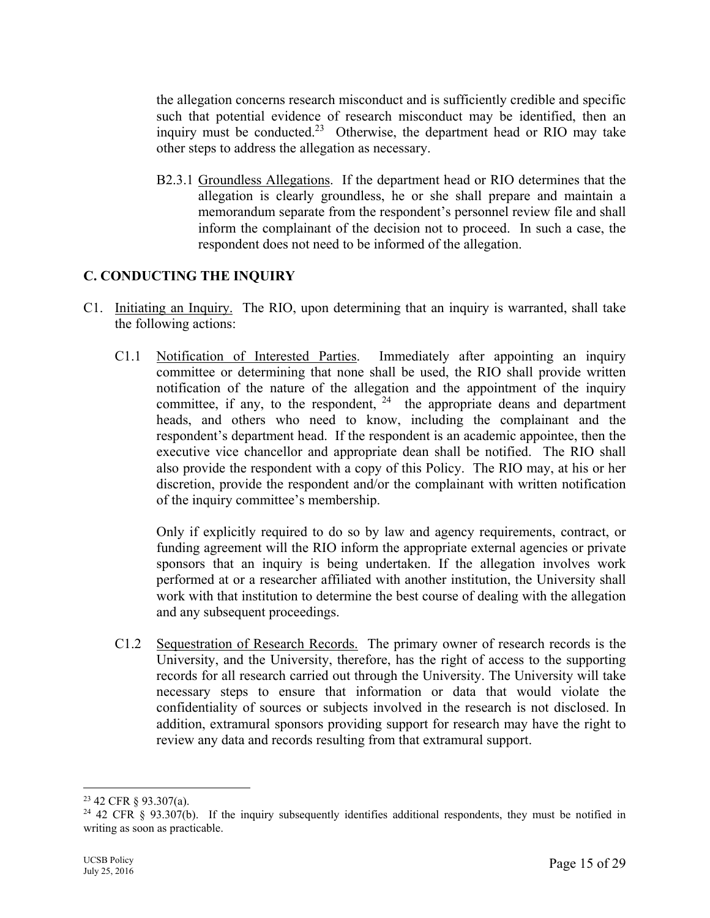the allegation concerns research misconduct and is sufficiently credible and specific such that potential evidence of research misconduct may be identified, then an inquiry must be conducted.<sup>23</sup> Otherwise, the department head or RIO may take other steps to address the allegation as necessary.

B2.3.1 Groundless Allegations. If the department head or RIO determines that the allegation is clearly groundless, he or she shall prepare and maintain a memorandum separate from the respondent's personnel review file and shall inform the complainant of the decision not to proceed. In such a case, the respondent does not need to be informed of the allegation.

# **C. CONDUCTING THE INQUIRY**

- C1. Initiating an Inquiry. The RIO, upon determining that an inquiry is warranted, shall take the following actions:
	- C1.1 Notification of Interested Parties. Immediately after appointing an inquiry committee or determining that none shall be used, the RIO shall provide written notification of the nature of the allegation and the appointment of the inquiry committee, if any, to the respondent,  $24$  the appropriate deans and department heads, and others who need to know, including the complainant and the respondent's department head. If the respondent is an academic appointee, then the executive vice chancellor and appropriate dean shall be notified. The RIO shall also provide the respondent with a copy of this Policy. The RIO may, at his or her discretion, provide the respondent and/or the complainant with written notification of the inquiry committee's membership.

 Only if explicitly required to do so by law and agency requirements, contract, or funding agreement will the RIO inform the appropriate external agencies or private sponsors that an inquiry is being undertaken. If the allegation involves work performed at or a researcher affiliated with another institution, the University shall work with that institution to determine the best course of dealing with the allegation and any subsequent proceedings.

C1.2 Sequestration of Research Records. The primary owner of research records is the University, and the University, therefore, has the right of access to the supporting records for all research carried out through the University. The University will take necessary steps to ensure that information or data that would violate the confidentiality of sources or subjects involved in the research is not disclosed. In addition, extramural sponsors providing support for research may have the right to review any data and records resulting from that extramural support.

<sup>23 42</sup> CFR § 93.307(a).

<sup>&</sup>lt;sup>24</sup> 42 CFR § 93.307(b). If the inquiry subsequently identifies additional respondents, they must be notified in writing as soon as practicable.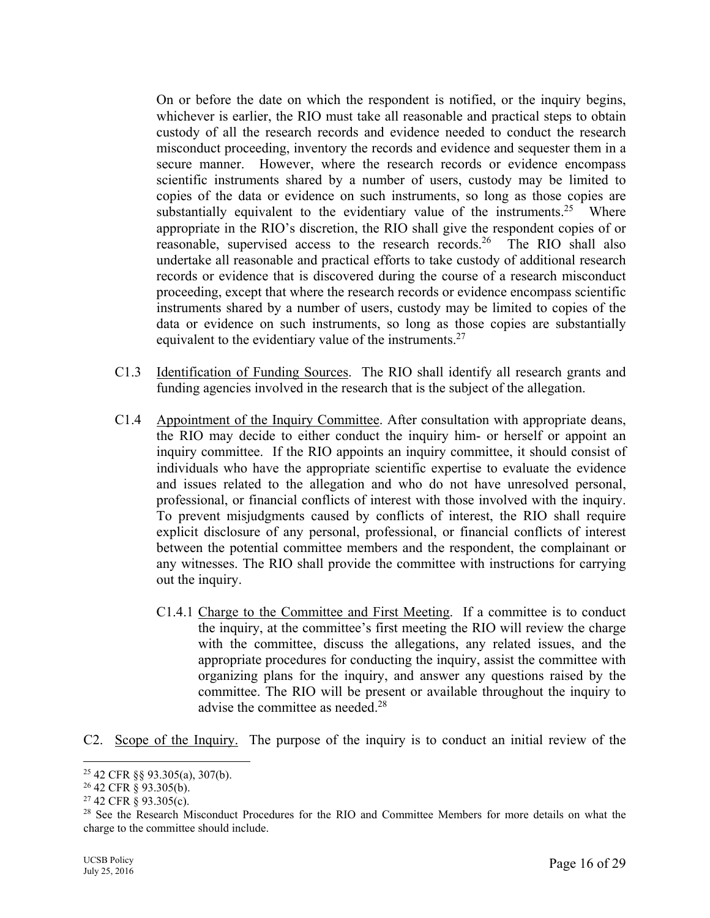On or before the date on which the respondent is notified, or the inquiry begins, whichever is earlier, the RIO must take all reasonable and practical steps to obtain custody of all the research records and evidence needed to conduct the research misconduct proceeding, inventory the records and evidence and sequester them in a secure manner. However, where the research records or evidence encompass scientific instruments shared by a number of users, custody may be limited to copies of the data or evidence on such instruments, so long as those copies are substantially equivalent to the evidentiary value of the instruments.<sup>25</sup> Where appropriate in the RIO's discretion, the RIO shall give the respondent copies of or reasonable, supervised access to the research records.<sup>26</sup> The RIO shall also undertake all reasonable and practical efforts to take custody of additional research records or evidence that is discovered during the course of a research misconduct proceeding, except that where the research records or evidence encompass scientific instruments shared by a number of users, custody may be limited to copies of the data or evidence on such instruments, so long as those copies are substantially equivalent to the evidentiary value of the instruments.<sup>27</sup>

- C1.3 Identification of Funding Sources. The RIO shall identify all research grants and funding agencies involved in the research that is the subject of the allegation.
- C1.4 Appointment of the Inquiry Committee. After consultation with appropriate deans, the RIO may decide to either conduct the inquiry him- or herself or appoint an inquiry committee. If the RIO appoints an inquiry committee, it should consist of individuals who have the appropriate scientific expertise to evaluate the evidence and issues related to the allegation and who do not have unresolved personal, professional, or financial conflicts of interest with those involved with the inquiry. To prevent misjudgments caused by conflicts of interest, the RIO shall require explicit disclosure of any personal, professional, or financial conflicts of interest between the potential committee members and the respondent, the complainant or any witnesses. The RIO shall provide the committee with instructions for carrying out the inquiry.
	- C1.4.1 Charge to the Committee and First Meeting. If a committee is to conduct the inquiry, at the committee's first meeting the RIO will review the charge with the committee, discuss the allegations, any related issues, and the appropriate procedures for conducting the inquiry, assist the committee with organizing plans for the inquiry, and answer any questions raised by the committee. The RIO will be present or available throughout the inquiry to advise the committee as needed.<sup>28</sup>
- C2. Scope of the Inquiry. The purpose of the inquiry is to conduct an initial review of the

<sup>25 42</sup> CFR §§ 93.305(a), 307(b).

<sup>26 42</sup> CFR § 93.305(b).

 $27$  42 CFR  $\hat{S}$  93.305(c).

<sup>&</sup>lt;sup>28</sup> See the Research Misconduct Procedures for the RIO and Committee Members for more details on what the charge to the committee should include.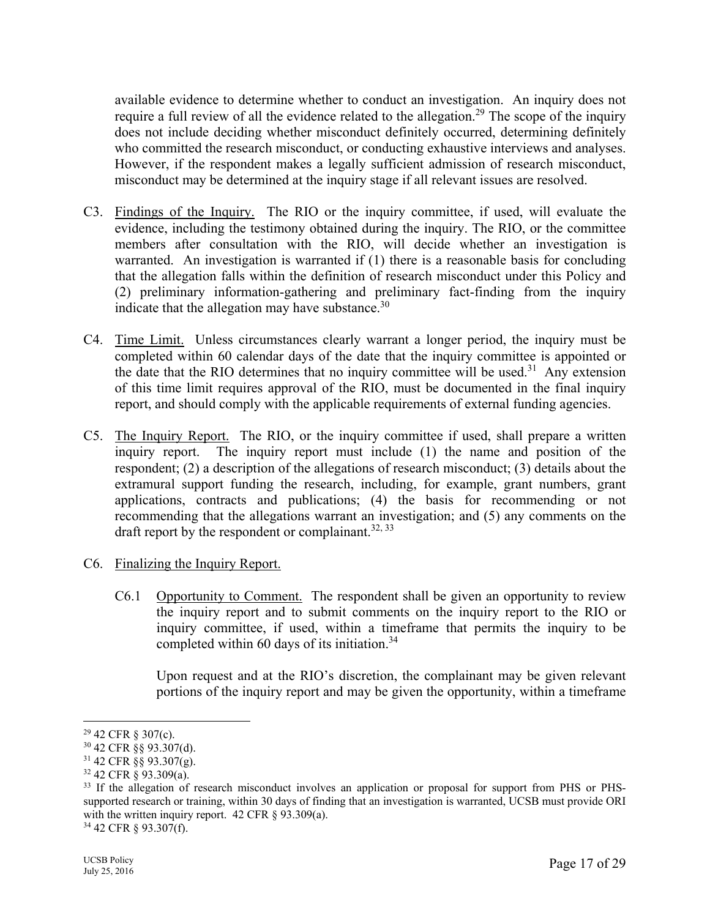available evidence to determine whether to conduct an investigation. An inquiry does not require a full review of all the evidence related to the allegation.<sup>29</sup> The scope of the inquiry does not include deciding whether misconduct definitely occurred, determining definitely who committed the research misconduct, or conducting exhaustive interviews and analyses. However, if the respondent makes a legally sufficient admission of research misconduct, misconduct may be determined at the inquiry stage if all relevant issues are resolved.

- C3. Findings of the Inquiry. The RIO or the inquiry committee, if used, will evaluate the evidence, including the testimony obtained during the inquiry. The RIO, or the committee members after consultation with the RIO, will decide whether an investigation is warranted. An investigation is warranted if (1) there is a reasonable basis for concluding that the allegation falls within the definition of research misconduct under this Policy and (2) preliminary information-gathering and preliminary fact-finding from the inquiry indicate that the allegation may have substance. $30$
- C4. Time Limit. Unless circumstances clearly warrant a longer period, the inquiry must be completed within 60 calendar days of the date that the inquiry committee is appointed or the date that the RIO determines that no inquiry committee will be used.<sup>31</sup> Any extension of this time limit requires approval of the RIO, must be documented in the final inquiry report, and should comply with the applicable requirements of external funding agencies.
- C5. The Inquiry Report. The RIO, or the inquiry committee if used, shall prepare a written inquiry report. The inquiry report must include (1) the name and position of the respondent; (2) a description of the allegations of research misconduct; (3) details about the extramural support funding the research, including, for example, grant numbers, grant applications, contracts and publications; (4) the basis for recommending or not recommending that the allegations warrant an investigation; and (5) any comments on the draft report by the respondent or complainant.<sup>32, 33</sup>
- C6. Finalizing the Inquiry Report.
	- C6.1 Opportunity to Comment. The respondent shall be given an opportunity to review the inquiry report and to submit comments on the inquiry report to the RIO or inquiry committee, if used, within a timeframe that permits the inquiry to be completed within 60 days of its initiation.<sup>34</sup>

Upon request and at the RIO's discretion, the complainant may be given relevant portions of the inquiry report and may be given the opportunity, within a timeframe

<sup>29 42</sup> CFR § 307(c).

<sup>30 42</sup> CFR §§ 93.307(d).

 $31$  42 CFR  $\S$ § 93.307(g).

<sup>32 42</sup> CFR § 93.309(a).

<sup>&</sup>lt;sup>33</sup> If the allegation of research misconduct involves an application or proposal for support from PHS or PHSsupported research or training, within 30 days of finding that an investigation is warranted, UCSB must provide ORI with the written inquiry report. 42 CFR § 93.309(a).

<sup>34 42</sup> CFR § 93.307(f).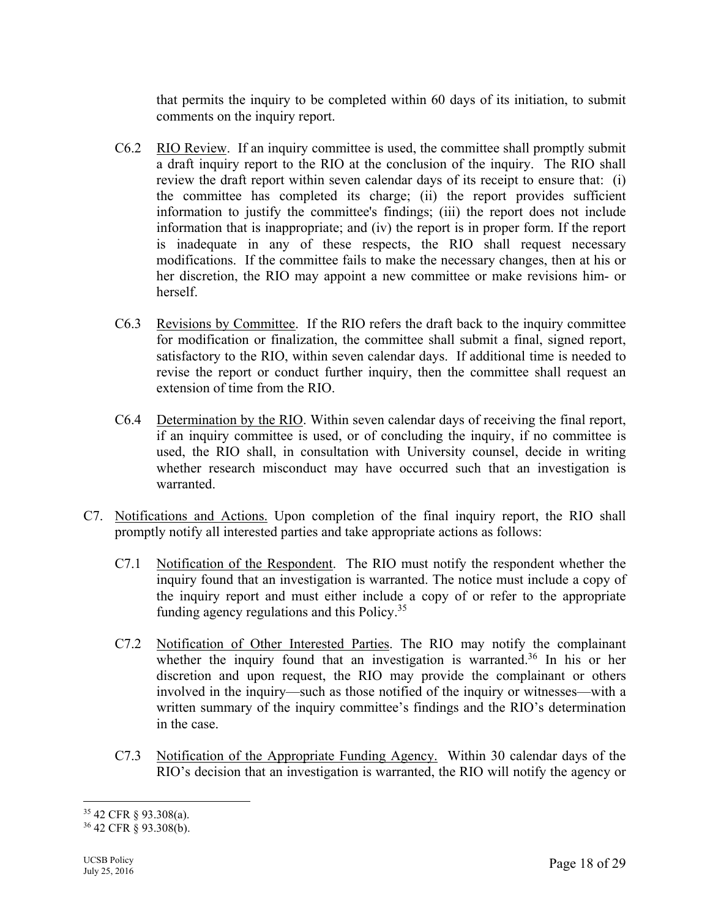that permits the inquiry to be completed within 60 days of its initiation, to submit comments on the inquiry report.

- C6.2 RIO Review. If an inquiry committee is used, the committee shall promptly submit a draft inquiry report to the RIO at the conclusion of the inquiry. The RIO shall review the draft report within seven calendar days of its receipt to ensure that: (i) the committee has completed its charge; (ii) the report provides sufficient information to justify the committee's findings; (iii) the report does not include information that is inappropriate; and (iv) the report is in proper form. If the report is inadequate in any of these respects, the RIO shall request necessary modifications. If the committee fails to make the necessary changes, then at his or her discretion, the RIO may appoint a new committee or make revisions him- or herself.
- C6.3 Revisions by Committee. If the RIO refers the draft back to the inquiry committee for modification or finalization, the committee shall submit a final, signed report, satisfactory to the RIO, within seven calendar days. If additional time is needed to revise the report or conduct further inquiry, then the committee shall request an extension of time from the RIO.
- C6.4 Determination by the RIO. Within seven calendar days of receiving the final report, if an inquiry committee is used, or of concluding the inquiry, if no committee is used, the RIO shall, in consultation with University counsel, decide in writing whether research misconduct may have occurred such that an investigation is warranted.
- C7. Notifications and Actions. Upon completion of the final inquiry report, the RIO shall promptly notify all interested parties and take appropriate actions as follows:
	- C7.1 Notification of the Respondent. The RIO must notify the respondent whether the inquiry found that an investigation is warranted. The notice must include a copy of the inquiry report and must either include a copy of or refer to the appropriate funding agency regulations and this Policy.35
	- C7.2 Notification of Other Interested Parties. The RIO may notify the complainant whether the inquiry found that an investigation is warranted.<sup>36</sup> In his or her discretion and upon request, the RIO may provide the complainant or others involved in the inquiry—such as those notified of the inquiry or witnesses—with a written summary of the inquiry committee's findings and the RIO's determination in the case.
	- C7.3 Notification of the Appropriate Funding Agency. Within 30 calendar days of the RIO's decision that an investigation is warranted, the RIO will notify the agency or

<sup>35 42</sup> CFR § 93.308(a).

<sup>36 42</sup> CFR § 93.308(b).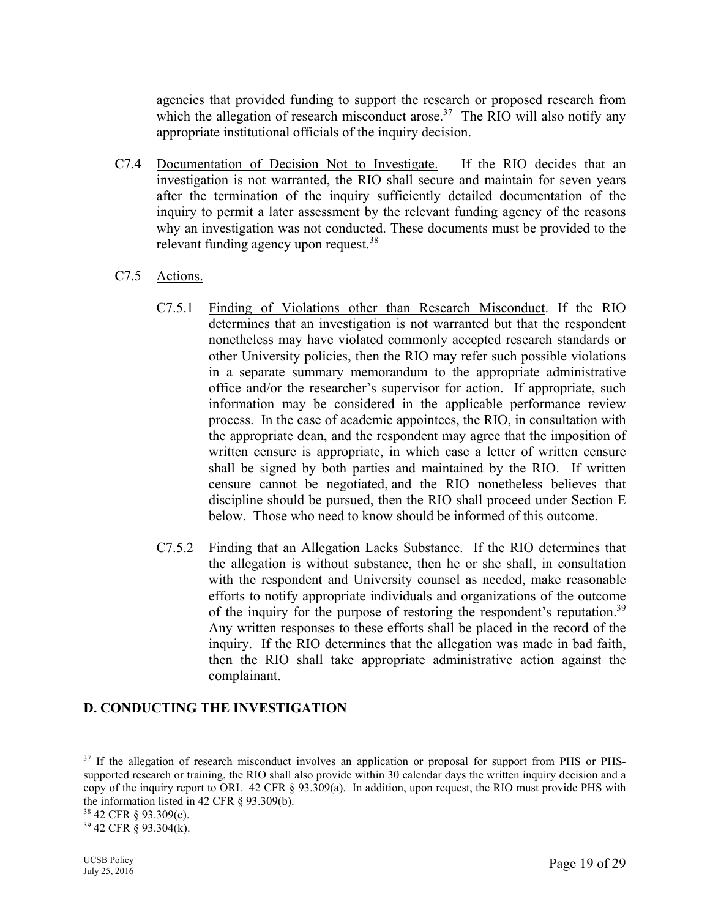agencies that provided funding to support the research or proposed research from which the allegation of research misconduct arose.<sup>37</sup> The RIO will also notify any appropriate institutional officials of the inquiry decision.

- C7.4 Documentation of Decision Not to Investigate. If the RIO decides that an investigation is not warranted, the RIO shall secure and maintain for seven years after the termination of the inquiry sufficiently detailed documentation of the inquiry to permit a later assessment by the relevant funding agency of the reasons why an investigation was not conducted. These documents must be provided to the relevant funding agency upon request.<sup>38</sup>
- C7.5 Actions.
	- C7.5.1 Finding of Violations other than Research Misconduct. If the RIO determines that an investigation is not warranted but that the respondent nonetheless may have violated commonly accepted research standards or other University policies, then the RIO may refer such possible violations in a separate summary memorandum to the appropriate administrative office and/or the researcher's supervisor for action. If appropriate, such information may be considered in the applicable performance review process. In the case of academic appointees, the RIO, in consultation with the appropriate dean, and the respondent may agree that the imposition of written censure is appropriate, in which case a letter of written censure shall be signed by both parties and maintained by the RIO. If written censure cannot be negotiated, and the RIO nonetheless believes that discipline should be pursued, then the RIO shall proceed under Section E below. Those who need to know should be informed of this outcome.
	- C7.5.2 Finding that an Allegation Lacks Substance. If the RIO determines that the allegation is without substance, then he or she shall, in consultation with the respondent and University counsel as needed, make reasonable efforts to notify appropriate individuals and organizations of the outcome of the inquiry for the purpose of restoring the respondent's reputation.<sup>39</sup> Any written responses to these efforts shall be placed in the record of the inquiry. If the RIO determines that the allegation was made in bad faith, then the RIO shall take appropriate administrative action against the complainant.

#### **D. CONDUCTING THE INVESTIGATION**

<sup>&</sup>lt;sup>37</sup> If the allegation of research misconduct involves an application or proposal for support from PHS or PHSsupported research or training, the RIO shall also provide within 30 calendar days the written inquiry decision and a copy of the inquiry report to ORI. 42 CFR § 93.309(a). In addition, upon request, the RIO must provide PHS with the information listed in 42 CFR § 93.309(b).

<sup>38 42</sup> CFR § 93.309(c).

<sup>39 42</sup> CFR § 93.304(k).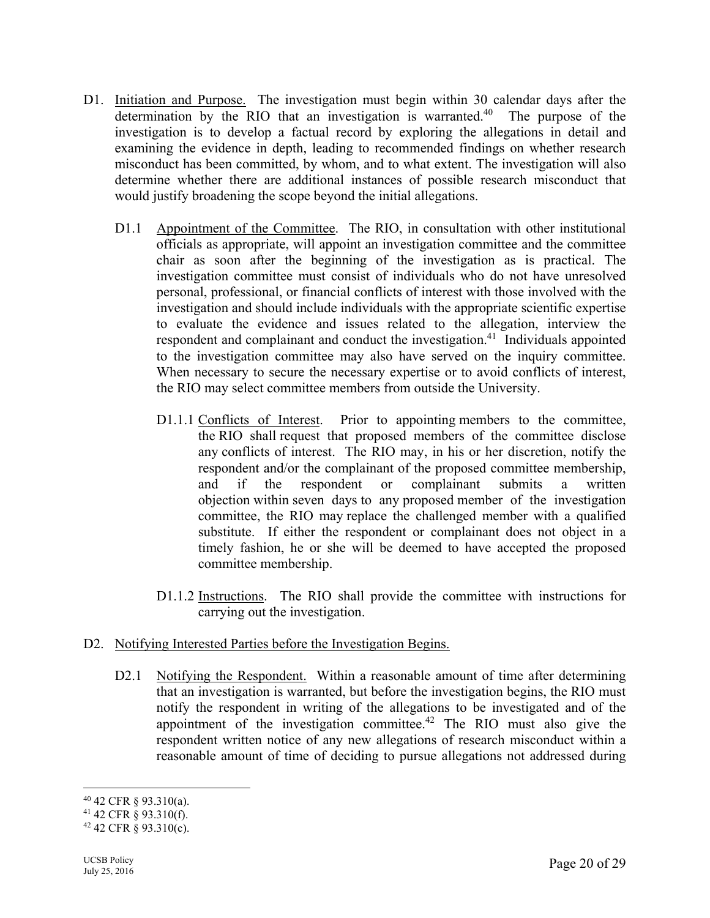- D1. Initiation and Purpose. The investigation must begin within 30 calendar days after the determination by the RIO that an investigation is warranted.<sup>40</sup> The purpose of the investigation is to develop a factual record by exploring the allegations in detail and examining the evidence in depth, leading to recommended findings on whether research misconduct has been committed, by whom, and to what extent. The investigation will also determine whether there are additional instances of possible research misconduct that would justify broadening the scope beyond the initial allegations.
	- D1.1 Appointment of the Committee. The RIO, in consultation with other institutional officials as appropriate, will appoint an investigation committee and the committee chair as soon after the beginning of the investigation as is practical. The investigation committee must consist of individuals who do not have unresolved personal, professional, or financial conflicts of interest with those involved with the investigation and should include individuals with the appropriate scientific expertise to evaluate the evidence and issues related to the allegation, interview the respondent and complainant and conduct the investigation.<sup>41</sup> Individuals appointed to the investigation committee may also have served on the inquiry committee. When necessary to secure the necessary expertise or to avoid conflicts of interest, the RIO may select committee members from outside the University.
		- D1.1.1 Conflicts of Interest. Prior to appointing members to the committee, the RIO shall request that proposed members of the committee disclose any conflicts of interest. The RIO may, in his or her discretion, notify the respondent and/or the complainant of the proposed committee membership, and if the respondent or complainant submits a written objection within seven days to any proposed member of the investigation committee, the RIO may replace the challenged member with a qualified substitute. If either the respondent or complainant does not object in a timely fashion, he or she will be deemed to have accepted the proposed committee membership.
		- D1.1.2 Instructions. The RIO shall provide the committee with instructions for carrying out the investigation.
- D2. Notifying Interested Parties before the Investigation Begins.
	- D2.1 Notifying the Respondent. Within a reasonable amount of time after determining that an investigation is warranted, but before the investigation begins, the RIO must notify the respondent in writing of the allegations to be investigated and of the appointment of the investigation committee.<sup>42</sup> The RIO must also give the respondent written notice of any new allegations of research misconduct within a reasonable amount of time of deciding to pursue allegations not addressed during

<sup>40 42</sup> CFR § 93.310(a).

<sup>41 42</sup> CFR § 93.310(f).

 $42$  42 CFR § 93.310(c).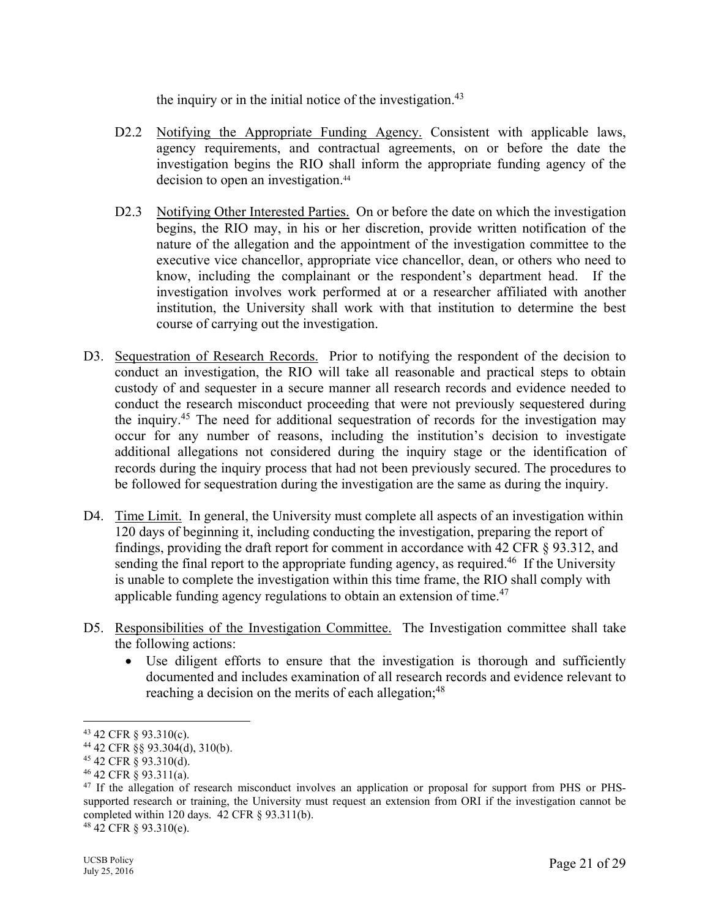the inquiry or in the initial notice of the investigation. $43$ 

- D2.2 Notifying the Appropriate Funding Agency. Consistent with applicable laws, agency requirements, and contractual agreements, on or before the date the investigation begins the RIO shall inform the appropriate funding agency of the decision to open an investigation.<sup>44</sup>
- D2.3 Notifying Other Interested Parties. On or before the date on which the investigation begins, the RIO may, in his or her discretion, provide written notification of the nature of the allegation and the appointment of the investigation committee to the executive vice chancellor, appropriate vice chancellor, dean, or others who need to know, including the complainant or the respondent's department head. If the investigation involves work performed at or a researcher affiliated with another institution, the University shall work with that institution to determine the best course of carrying out the investigation.
- D3. Sequestration of Research Records. Prior to notifying the respondent of the decision to conduct an investigation, the RIO will take all reasonable and practical steps to obtain custody of and sequester in a secure manner all research records and evidence needed to conduct the research misconduct proceeding that were not previously sequestered during the inquiry.45 The need for additional sequestration of records for the investigation may occur for any number of reasons, including the institution's decision to investigate additional allegations not considered during the inquiry stage or the identification of records during the inquiry process that had not been previously secured. The procedures to be followed for sequestration during the investigation are the same as during the inquiry.
- D4. Time Limit. In general, the University must complete all aspects of an investigation within 120 days of beginning it, including conducting the investigation, preparing the report of findings, providing the draft report for comment in accordance with 42 CFR § 93.312, and sending the final report to the appropriate funding agency, as required.<sup>46</sup> If the University is unable to complete the investigation within this time frame, the RIO shall comply with applicable funding agency regulations to obtain an extension of time.<sup>47</sup>
- D5. Responsibilities of the Investigation Committee. The Investigation committee shall take the following actions:
	- Use diligent efforts to ensure that the investigation is thorough and sufficiently documented and includes examination of all research records and evidence relevant to reaching a decision on the merits of each allegation;<sup>48</sup>

<sup>43 42</sup> CFR § 93.310(c).

<sup>44 42</sup> CFR §§ 93.304(d), 310(b).

<sup>45 42</sup> CFR § 93.310(d).

<sup>46 42</sup> CFR § 93.311(a).

<sup>&</sup>lt;sup>47</sup> If the allegation of research misconduct involves an application or proposal for support from PHS or PHSsupported research or training, the University must request an extension from ORI if the investigation cannot be completed within 120 days. 42 CFR § 93.311(b).

<sup>48 42</sup> CFR § 93.310(e).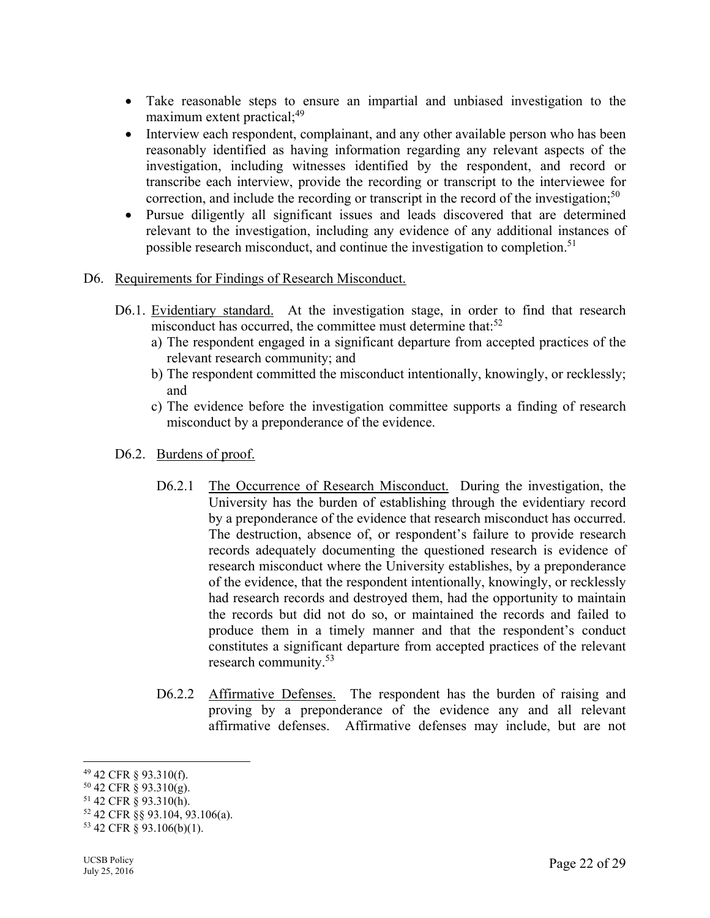- Take reasonable steps to ensure an impartial and unbiased investigation to the maximum extent practical;<sup>49</sup>
- Interview each respondent, complainant, and any other available person who has been reasonably identified as having information regarding any relevant aspects of the investigation, including witnesses identified by the respondent, and record or transcribe each interview, provide the recording or transcript to the interviewee for correction, and include the recording or transcript in the record of the investigation;<sup>50</sup>
- Pursue diligently all significant issues and leads discovered that are determined relevant to the investigation, including any evidence of any additional instances of possible research misconduct, and continue the investigation to completion.<sup>51</sup>

#### D6. Requirements for Findings of Research Misconduct.

- D6.1. Evidentiary standard. At the investigation stage, in order to find that research misconduct has occurred, the committee must determine that: $52$ 
	- a) The respondent engaged in a significant departure from accepted practices of the relevant research community; and
	- b) The respondent committed the misconduct intentionally, knowingly, or recklessly; and
	- c) The evidence before the investigation committee supports a finding of research misconduct by a preponderance of the evidence.
- D6.2. Burdens of proof.
	- D6.2.1 The Occurrence of Research Misconduct. During the investigation, the University has the burden of establishing through the evidentiary record by a preponderance of the evidence that research misconduct has occurred. The destruction, absence of, or respondent's failure to provide research records adequately documenting the questioned research is evidence of research misconduct where the University establishes, by a preponderance of the evidence, that the respondent intentionally, knowingly, or recklessly had research records and destroyed them, had the opportunity to maintain the records but did not do so, or maintained the records and failed to produce them in a timely manner and that the respondent's conduct constitutes a significant departure from accepted practices of the relevant research community.<sup>53</sup>
	- D6.2.2 Affirmative Defenses. The respondent has the burden of raising and proving by a preponderance of the evidence any and all relevant affirmative defenses. Affirmative defenses may include, but are not

<sup>49 42</sup> CFR § 93.310(f).

 $50$  42 CFR § 93.310(g).

<sup>51 42</sup> CFR § 93.310(h).

<sup>52 42</sup> CFR §§ 93.104, 93.106(a).

 $53$  42 CFR § 93.106(b)(1).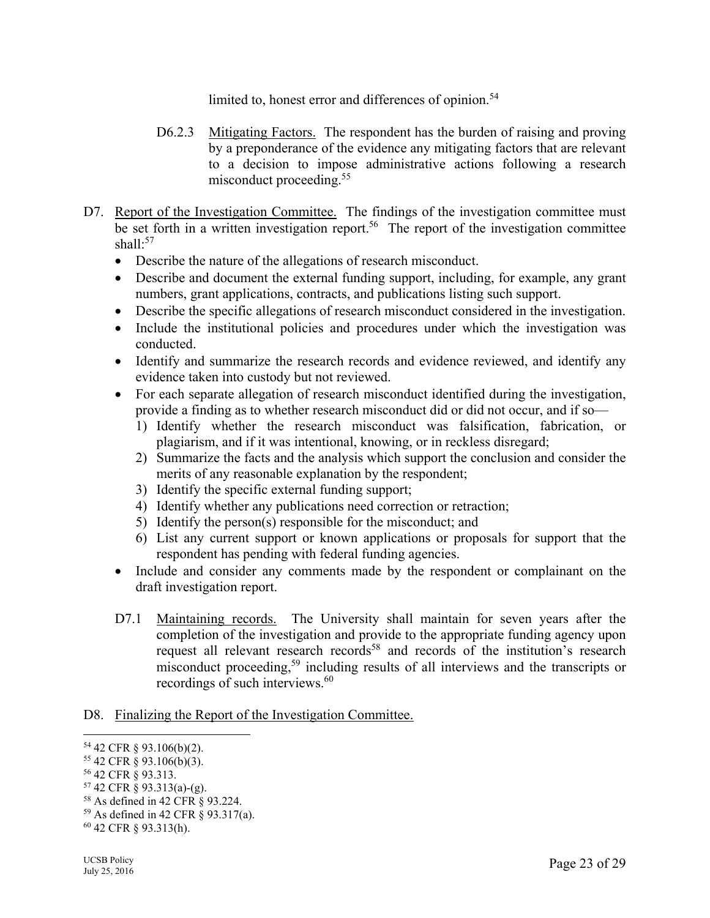limited to, honest error and differences of opinion.<sup>54</sup>

- D6.2.3 Mitigating Factors. The respondent has the burden of raising and proving by a preponderance of the evidence any mitigating factors that are relevant to a decision to impose administrative actions following a research misconduct proceeding.<sup>55</sup>
- D7. Report of the Investigation Committee. The findings of the investigation committee must be set forth in a written investigation report.<sup>56</sup> The report of the investigation committee shall: $57$ 
	- Describe the nature of the allegations of research misconduct.
	- Describe and document the external funding support, including, for example, any grant numbers, grant applications, contracts, and publications listing such support.
	- Describe the specific allegations of research misconduct considered in the investigation.
	- Include the institutional policies and procedures under which the investigation was conducted.
	- Identify and summarize the research records and evidence reviewed, and identify any evidence taken into custody but not reviewed.
	- For each separate allegation of research misconduct identified during the investigation, provide a finding as to whether research misconduct did or did not occur, and if so—
		- 1) Identify whether the research misconduct was falsification, fabrication, or plagiarism, and if it was intentional, knowing, or in reckless disregard;
		- 2) Summarize the facts and the analysis which support the conclusion and consider the merits of any reasonable explanation by the respondent;
		- 3) Identify the specific external funding support;
		- 4) Identify whether any publications need correction or retraction;
		- 5) Identify the person(s) responsible for the misconduct; and
		- 6) List any current support or known applications or proposals for support that the respondent has pending with federal funding agencies.
	- Include and consider any comments made by the respondent or complainant on the draft investigation report.
	- D7.1 Maintaining records. The University shall maintain for seven years after the completion of the investigation and provide to the appropriate funding agency upon request all relevant research records<sup>58</sup> and records of the institution's research misconduct proceeding,59 including results of all interviews and the transcripts or recordings of such interviews.<sup>60</sup>

#### D8. Finalizing the Report of the Investigation Committee.

 $\overline{a}$ 54 42 CFR § 93.106(b)(2).

 $55$  42 CFR § 93.106(b)(3).

<sup>56 42</sup> CFR § 93.313.

<sup>57 42</sup> CFR § 93.313(a)-(g).

<sup>58</sup> As defined in 42 CFR § 93.224.

<sup>59</sup> As defined in 42 CFR § 93.317(a).

<sup>60 42</sup> CFR § 93.313(h).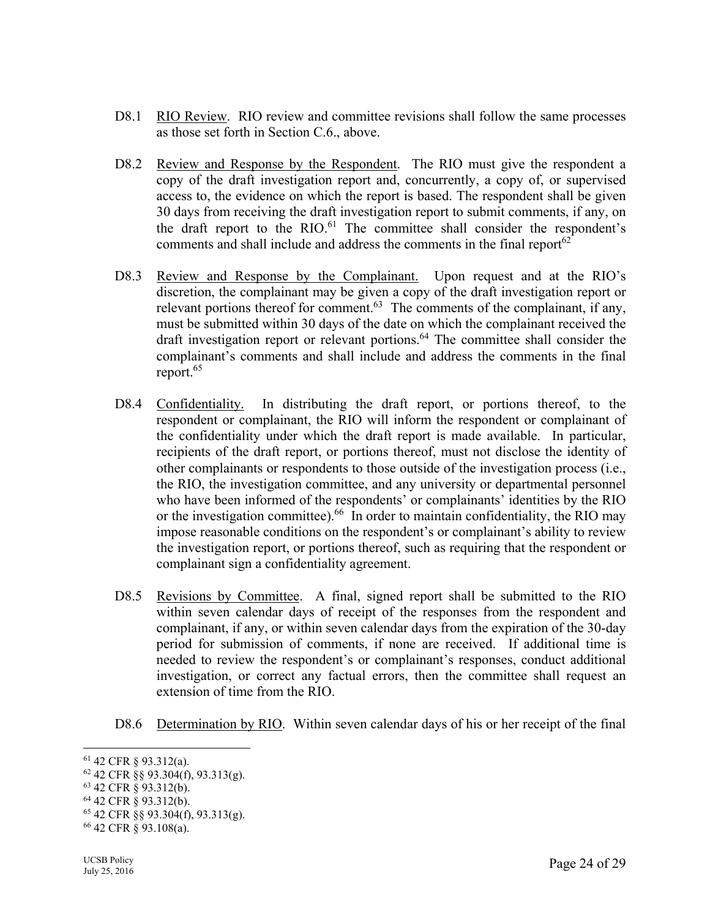- D8.1 RIO Review. RIO review and committee revisions shall follow the same processes as those set forth in Section C.6., above.
- D8.2 Review and Response by the Respondent. The RIO must give the respondent a copy of the draft investigation report and, concurrently, a copy of, or supervised access to, the evidence on which the report is based. The respondent shall be given 30 days from receiving the draft investigation report to submit comments, if any, on the draft report to the  $RIO.61$  The committee shall consider the respondent's comments and shall include and address the comments in the final report  $62$
- D8.3 Review and Response by the Complainant. Upon request and at the RIO's discretion, the complainant may be given a copy of the draft investigation report or relevant portions thereof for comment.<sup>63</sup> The comments of the complainant, if any, must be submitted within 30 days of the date on which the complainant received the draft investigation report or relevant portions.64 The committee shall consider the complainant's comments and shall include and address the comments in the final report.65
- D8.4 Confidentiality. In distributing the draft report, or portions thereof, to the respondent or complainant, the RIO will inform the respondent or complainant of the confidentiality under which the draft report is made available. In particular, recipients of the draft report, or portions thereof, must not disclose the identity of other complainants or respondents to those outside of the investigation process (i.e., the RIO, the investigation committee, and any university or departmental personnel who have been informed of the respondents' or complainants' identities by the RIO or the investigation committee).<sup>66</sup> In order to maintain confidentiality, the RIO may impose reasonable conditions on the respondent's or complainant's ability to review the investigation report, or portions thereof, such as requiring that the respondent or complainant sign a confidentiality agreement.
- D8.5 Revisions by Committee. A final, signed report shall be submitted to the RIO within seven calendar days of receipt of the responses from the respondent and complainant, if any, or within seven calendar days from the expiration of the 30-day period for submission of comments, if none are received. If additional time is needed to review the respondent's or complainant's responses, conduct additional investigation, or correct any factual errors, then the committee shall request an extension of time from the RIO.
- D8.6 Determination by RIO. Within seven calendar days of his or her receipt of the final

 $\overline{a}$ 61 42 CFR § 93.312(a).

<sup>62 42</sup> CFR §§ 93.304(f), 93.313(g).

<sup>63 42</sup> CFR § 93.312(b).

<sup>64 42</sup> CFR § 93.312(b).

<sup>65 42</sup> CFR §§ 93.304(f), 93.313(g).

<sup>66 42</sup> CFR § 93.108(a).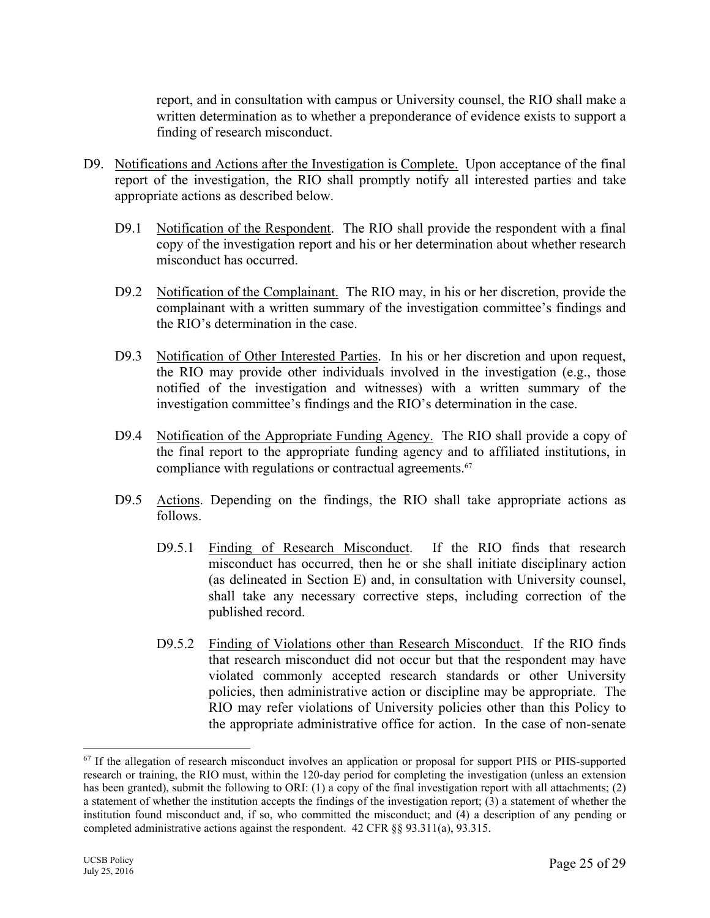report, and in consultation with campus or University counsel, the RIO shall make a written determination as to whether a preponderance of evidence exists to support a finding of research misconduct.

- D9. Notifications and Actions after the Investigation is Complete. Upon acceptance of the final report of the investigation, the RIO shall promptly notify all interested parties and take appropriate actions as described below.
	- D9.1 Notification of the Respondent. The RIO shall provide the respondent with a final copy of the investigation report and his or her determination about whether research misconduct has occurred.
	- D9.2 Notification of the Complainant. The RIO may, in his or her discretion, provide the complainant with a written summary of the investigation committee's findings and the RIO's determination in the case.
	- D9.3 Notification of Other Interested Parties. In his or her discretion and upon request, the RIO may provide other individuals involved in the investigation (e.g., those notified of the investigation and witnesses) with a written summary of the investigation committee's findings and the RIO's determination in the case.
	- D9.4 Notification of the Appropriate Funding Agency. The RIO shall provide a copy of the final report to the appropriate funding agency and to affiliated institutions, in compliance with regulations or contractual agreements.<sup>67</sup>
	- D9.5 Actions. Depending on the findings, the RIO shall take appropriate actions as follows.
		- D9.5.1 Finding of Research Misconduct. If the RIO finds that research misconduct has occurred, then he or she shall initiate disciplinary action (as delineated in Section E) and, in consultation with University counsel, shall take any necessary corrective steps, including correction of the published record.
		- D9.5.2 Finding of Violations other than Research Misconduct. If the RIO finds that research misconduct did not occur but that the respondent may have violated commonly accepted research standards or other University policies, then administrative action or discipline may be appropriate. The RIO may refer violations of University policies other than this Policy to the appropriate administrative office for action. In the case of non-senate

<sup>&</sup>lt;sup>67</sup> If the allegation of research misconduct involves an application or proposal for support PHS or PHS-supported research or training, the RIO must, within the 120-day period for completing the investigation (unless an extension has been granted), submit the following to ORI: (1) a copy of the final investigation report with all attachments; (2) a statement of whether the institution accepts the findings of the investigation report; (3) a statement of whether the institution found misconduct and, if so, who committed the misconduct; and (4) a description of any pending or completed administrative actions against the respondent. 42 CFR §§ 93.311(a), 93.315.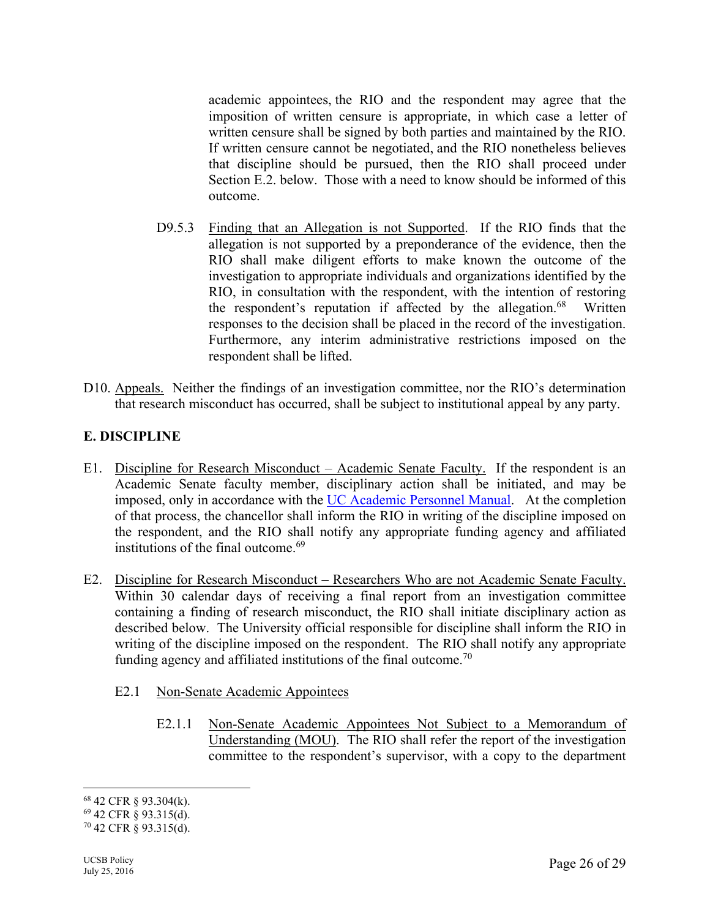academic appointees, the RIO and the respondent may agree that the imposition of written censure is appropriate, in which case a letter of written censure shall be signed by both parties and maintained by the RIO. If written censure cannot be negotiated, and the RIO nonetheless believes that discipline should be pursued, then the RIO shall proceed under Section E.2. below. Those with a need to know should be informed of this outcome.

- D9.5.3 Finding that an Allegation is not Supported. If the RIO finds that the allegation is not supported by a preponderance of the evidence, then the RIO shall make diligent efforts to make known the outcome of the investigation to appropriate individuals and organizations identified by the RIO, in consultation with the respondent, with the intention of restoring the respondent's reputation if affected by the allegation. $68$  Written responses to the decision shall be placed in the record of the investigation. Furthermore, any interim administrative restrictions imposed on the respondent shall be lifted.
- D10. Appeals. Neither the findings of an investigation committee, nor the RIO's determination that research misconduct has occurred, shall be subject to institutional appeal by any party.

# **E. DISCIPLINE**

- E1. Discipline for Research Misconduct Academic Senate Faculty. If the respondent is an Academic Senate faculty member, disciplinary action shall be initiated, and may be imposed, only in accordance with the UC Academic Personnel Manual. At the completion of that process, the chancellor shall inform the RIO in writing of the discipline imposed on the respondent, and the RIO shall notify any appropriate funding agency and affiliated institutions of the final outcome.<sup>69</sup>
- E2. Discipline for Research Misconduct Researchers Who are not Academic Senate Faculty. Within 30 calendar days of receiving a final report from an investigation committee containing a finding of research misconduct, the RIO shall initiate disciplinary action as described below. The University official responsible for discipline shall inform the RIO in writing of the discipline imposed on the respondent. The RIO shall notify any appropriate funding agency and affiliated institutions of the final outcome.<sup>70</sup>
	- E2.1 Non-Senate Academic Appointees
		- E2.1.1 Non-Senate Academic Appointees Not Subject to a Memorandum of Understanding (MOU). The RIO shall refer the report of the investigation committee to the respondent's supervisor, with a copy to the department

<sup>68 42</sup> CFR § 93.304(k).

<sup>69 42</sup> CFR § 93.315(d).

 $70$  42 CFR § 93.315(d).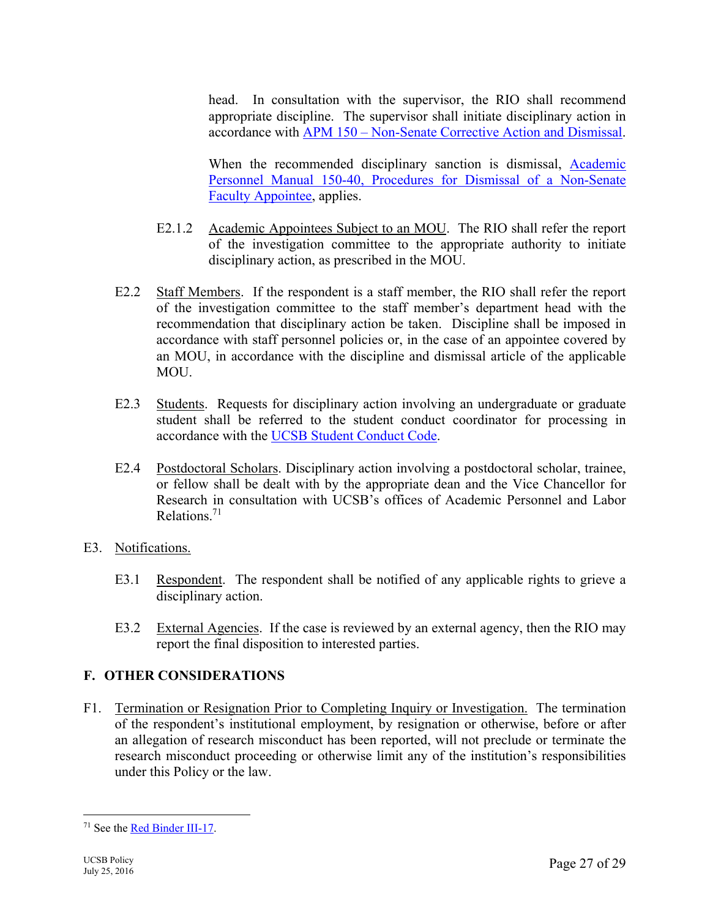head. In consultation with the supervisor, the RIO shall recommend appropriate discipline. The supervisor shall initiate disciplinary action in accordance with APM 150 – Non-Senate Corrective Action and Dismissal.

When the recommended disciplinary sanction is dismissal, Academic Personnel Manual 150-40, Procedures for Dismissal of a Non-Senate Faculty Appointee, applies.

- E2.1.2 Academic Appointees Subject to an MOU. The RIO shall refer the report of the investigation committee to the appropriate authority to initiate disciplinary action, as prescribed in the MOU.
- E2.2 Staff Members. If the respondent is a staff member, the RIO shall refer the report of the investigation committee to the staff member's department head with the recommendation that disciplinary action be taken. Discipline shall be imposed in accordance with staff personnel policies or, in the case of an appointee covered by an MOU, in accordance with the discipline and dismissal article of the applicable MOU.
- E2.3 Students. Requests for disciplinary action involving an undergraduate or graduate student shall be referred to the student conduct coordinator for processing in accordance with the UCSB Student Conduct Code.
- E2.4 Postdoctoral Scholars. Disciplinary action involving a postdoctoral scholar, trainee, or fellow shall be dealt with by the appropriate dean and the Vice Chancellor for Research in consultation with UCSB's offices of Academic Personnel and Labor Relations.71
- E3. Notifications.
	- E3.1 Respondent. The respondent shall be notified of any applicable rights to grieve a disciplinary action.
	- E3.2 External Agencies. If the case is reviewed by an external agency, then the RIO may report the final disposition to interested parties.

# **F. OTHER CONSIDERATIONS**

F1. Termination or Resignation Prior to Completing Inquiry or Investigation. The termination of the respondent's institutional employment, by resignation or otherwise, before or after an allegation of research misconduct has been reported, will not preclude or terminate the research misconduct proceeding or otherwise limit any of the institution's responsibilities under this Policy or the law.

 $\overline{a}$ 71 See the Red Binder III-17.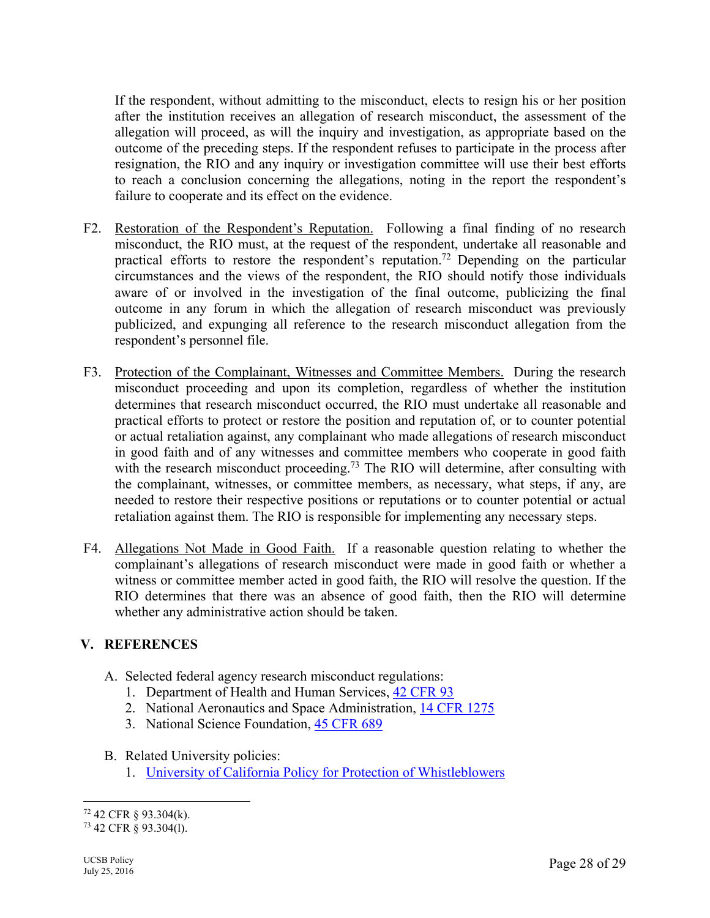If the respondent, without admitting to the misconduct, elects to resign his or her position after the institution receives an allegation of research misconduct, the assessment of the allegation will proceed, as will the inquiry and investigation, as appropriate based on the outcome of the preceding steps. If the respondent refuses to participate in the process after resignation, the RIO and any inquiry or investigation committee will use their best efforts to reach a conclusion concerning the allegations, noting in the report the respondent's failure to cooperate and its effect on the evidence.

- F2. Restoration of the Respondent's Reputation. Following a final finding of no research misconduct, the RIO must, at the request of the respondent, undertake all reasonable and practical efforts to restore the respondent's reputation.<sup>72</sup> Depending on the particular circumstances and the views of the respondent, the RIO should notify those individuals aware of or involved in the investigation of the final outcome, publicizing the final outcome in any forum in which the allegation of research misconduct was previously publicized, and expunging all reference to the research misconduct allegation from the respondent's personnel file.
- F3. Protection of the Complainant, Witnesses and Committee Members. During the research misconduct proceeding and upon its completion, regardless of whether the institution determines that research misconduct occurred, the RIO must undertake all reasonable and practical efforts to protect or restore the position and reputation of, or to counter potential or actual retaliation against, any complainant who made allegations of research misconduct in good faith and of any witnesses and committee members who cooperate in good faith with the research misconduct proceeding.<sup>73</sup> The RIO will determine, after consulting with the complainant, witnesses, or committee members, as necessary, what steps, if any, are needed to restore their respective positions or reputations or to counter potential or actual retaliation against them. The RIO is responsible for implementing any necessary steps.
- F4. Allegations Not Made in Good Faith. If a reasonable question relating to whether the complainant's allegations of research misconduct were made in good faith or whether a witness or committee member acted in good faith, the RIO will resolve the question. If the RIO determines that there was an absence of good faith, then the RIO will determine whether any administrative action should be taken.

#### **V. REFERENCES**

- A. Selected federal agency research misconduct regulations:
	- 1. Department of Health and Human Services, 42 CFR 93
	- 2. National Aeronautics and Space Administration, 14 CFR 1275
	- 3. National Science Foundation, 45 CFR 689
- B. Related University policies:
	- 1. University of California Policy for Protection of Whistleblowers

<sup>72 42</sup> CFR § 93.304(k).

<sup>73 42</sup> CFR § 93.304(l).